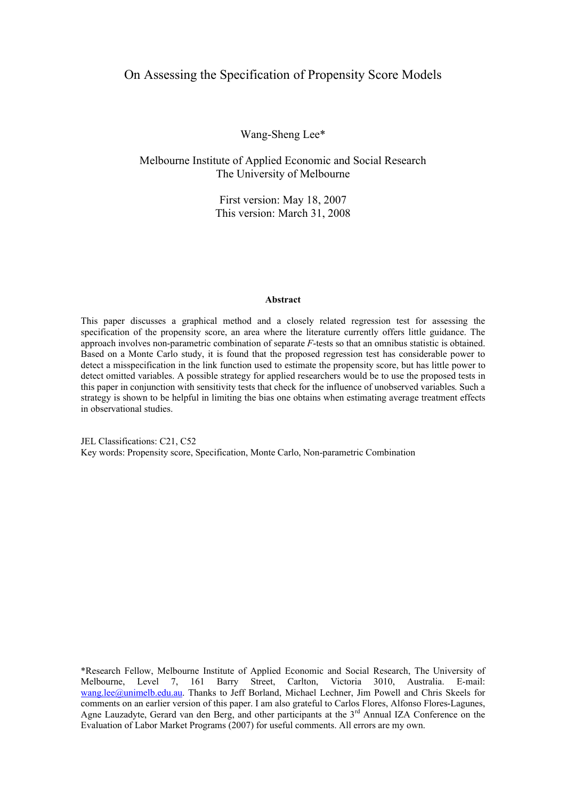### On Assessing the Specification of Propensity Score Models

Wang-Sheng Lee\*

Melbourne Institute of Applied Economic and Social Research The University of Melbourne

> First version: May 18, 2007 This version: March 31, 2008

#### **Abstract**

This paper discusses a graphical method and a closely related regression test for assessing the specification of the propensity score, an area where the literature currently offers little guidance. The approach involves non-parametric combination of separate *F*-tests so that an omnibus statistic is obtained. Based on a Monte Carlo study, it is found that the proposed regression test has considerable power to detect a misspecification in the link function used to estimate the propensity score, but has little power to detect omitted variables. A possible strategy for applied researchers would be to use the proposed tests in this paper in conjunction with sensitivity tests that check for the influence of unobserved variables. Such a strategy is shown to be helpful in limiting the bias one obtains when estimating average treatment effects in observational studies.

JEL Classifications: C21, C52 Key words: Propensity score, Specification, Monte Carlo, Non-parametric Combination

\*Research Fellow, Melbourne Institute of Applied Economic and Social Research, The University of Melbourne, Level 7, 161 Barry Street, Carlton, Victoria 3010, Australia. E-mail: wang.lee@unimelb.edu.au. Thanks to Jeff Borland, Michael Lechner, Jim Powell and Chris Skeels for comments on an earlier version of this paper. I am also grateful to Carlos Flores, Alfonso Flores-Lagunes, Agne Lauzadyte, Gerard van den Berg, and other participants at the  $3<sup>rd</sup>$  Annual IZA Conference on the Evaluation of Labor Market Programs (2007) for useful comments. All errors are my own.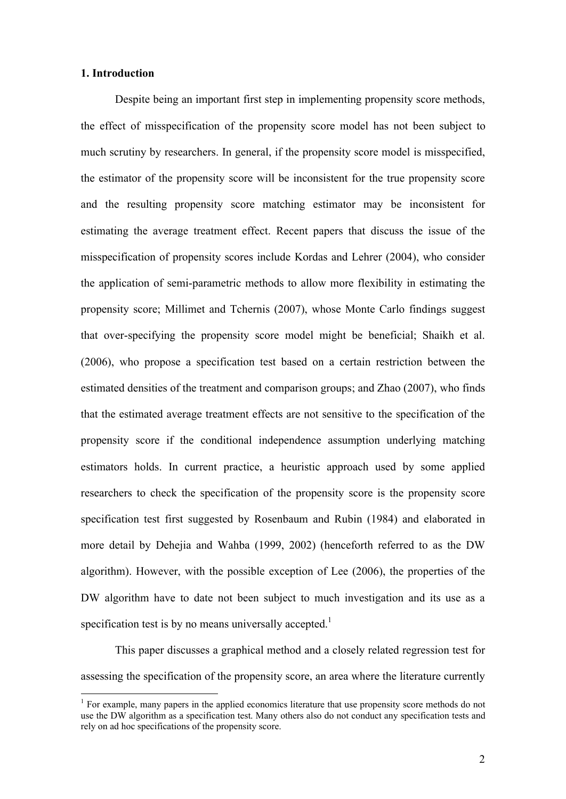# **1. Introduction**

 $\overline{a}$ 

Despite being an important first step in implementing propensity score methods, the effect of misspecification of the propensity score model has not been subject to much scrutiny by researchers. In general, if the propensity score model is misspecified, the estimator of the propensity score will be inconsistent for the true propensity score and the resulting propensity score matching estimator may be inconsistent for estimating the average treatment effect. Recent papers that discuss the issue of the misspecification of propensity scores include Kordas and Lehrer (2004), who consider the application of semi-parametric methods to allow more flexibility in estimating the propensity score; Millimet and Tchernis (2007), whose Monte Carlo findings suggest that over-specifying the propensity score model might be beneficial; Shaikh et al. (2006), who propose a specification test based on a certain restriction between the estimated densities of the treatment and comparison groups; and Zhao (2007), who finds that the estimated average treatment effects are not sensitive to the specification of the propensity score if the conditional independence assumption underlying matching estimators holds. In current practice, a heuristic approach used by some applied researchers to check the specification of the propensity score is the propensity score specification test first suggested by Rosenbaum and Rubin (1984) and elaborated in more detail by Dehejia and Wahba (1999, 2002) (henceforth referred to as the DW algorithm). However, with the possible exception of Lee (2006), the properties of the DW algorithm have to date not been subject to much investigation and its use as a specification test is by no means universally accepted.<sup>1</sup>

This paper discusses a graphical method and a closely related regression test for assessing the specification of the propensity score, an area where the literature currently

<sup>&</sup>lt;sup>1</sup> For example, many papers in the applied economics literature that use propensity score methods do not use the DW algorithm as a specification test. Many others also do not conduct any specification tests and rely on ad hoc specifications of the propensity score.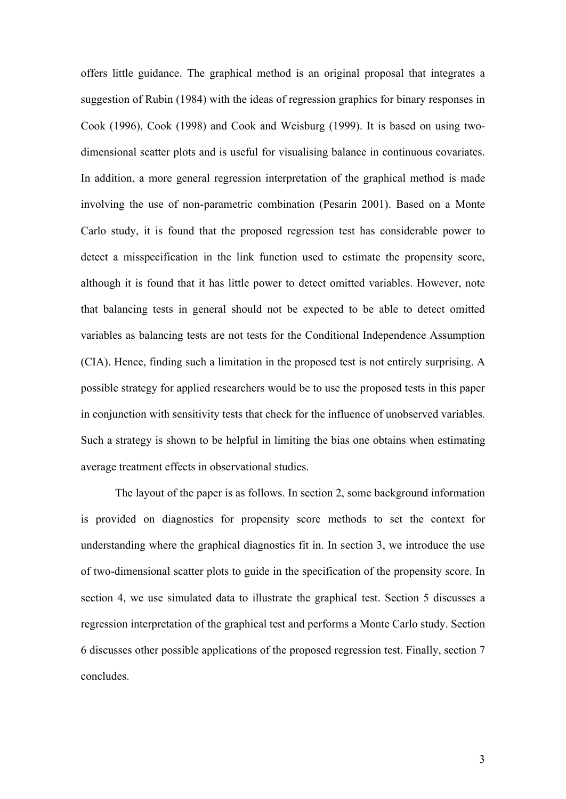offers little guidance. The graphical method is an original proposal that integrates a suggestion of Rubin (1984) with the ideas of regression graphics for binary responses in Cook (1996), Cook (1998) and Cook and Weisburg (1999). It is based on using twodimensional scatter plots and is useful for visualising balance in continuous covariates. In addition, a more general regression interpretation of the graphical method is made involving the use of non-parametric combination (Pesarin 2001). Based on a Monte Carlo study, it is found that the proposed regression test has considerable power to detect a misspecification in the link function used to estimate the propensity score, although it is found that it has little power to detect omitted variables. However, note that balancing tests in general should not be expected to be able to detect omitted variables as balancing tests are not tests for the Conditional Independence Assumption (CIA). Hence, finding such a limitation in the proposed test is not entirely surprising. A possible strategy for applied researchers would be to use the proposed tests in this paper in conjunction with sensitivity tests that check for the influence of unobserved variables. Such a strategy is shown to be helpful in limiting the bias one obtains when estimating average treatment effects in observational studies.

The layout of the paper is as follows. In section 2, some background information is provided on diagnostics for propensity score methods to set the context for understanding where the graphical diagnostics fit in. In section 3, we introduce the use of two-dimensional scatter plots to guide in the specification of the propensity score. In section 4, we use simulated data to illustrate the graphical test. Section 5 discusses a regression interpretation of the graphical test and performs a Monte Carlo study. Section 6 discusses other possible applications of the proposed regression test. Finally, section 7 concludes.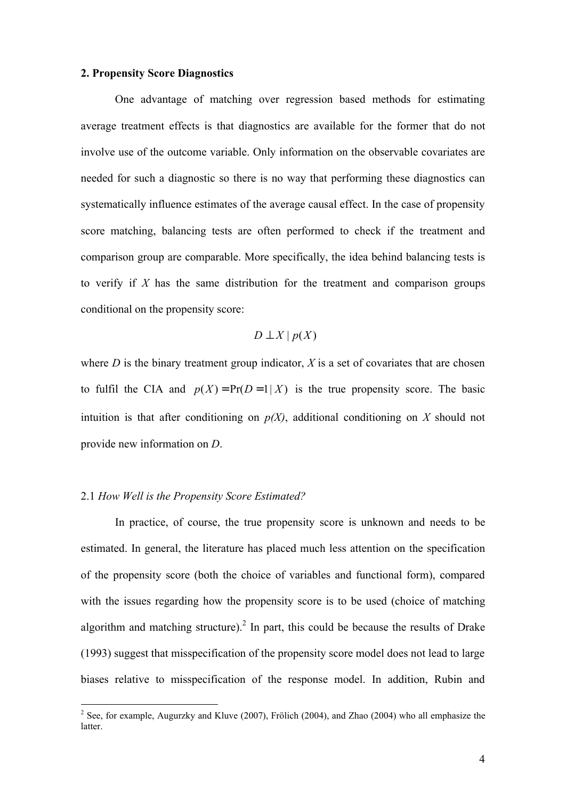### **2. Propensity Score Diagnostics**

One advantage of matching over regression based methods for estimating average treatment effects is that diagnostics are available for the former that do not involve use of the outcome variable. Only information on the observable covariates are needed for such a diagnostic so there is no way that performing these diagnostics can systematically influence estimates of the average causal effect. In the case of propensity score matching, balancing tests are often performed to check if the treatment and comparison group are comparable. More specifically, the idea behind balancing tests is to verify if *X* has the same distribution for the treatment and comparison groups conditional on the propensity score:

*D* ⊥ *X* | *p*(*X*)

where  $D$  is the binary treatment group indicator,  $X$  is a set of covariates that are chosen to fulfil the CIA and  $p(X) = Pr(D=1 | X)$  is the true propensity score. The basic intuition is that after conditioning on  $p(X)$ , additional conditioning on X should not provide new information on *D*.

### 2.1 *How Well is the Propensity Score Estimated?*

In practice, of course, the true propensity score is unknown and needs to be estimated. In general, the literature has placed much less attention on the specification of the propensity score (both the choice of variables and functional form), compared with the issues regarding how the propensity score is to be used (choice of matching algorithm and matching structure).<sup>2</sup> In part, this could be because the results of Drake (1993) suggest that misspecification of the propensity score model does not lead to large biases relative to misspecification of the response model. In addition, Rubin and

<sup>&</sup>lt;sup>2</sup> See, for example, Augurzky and Kluve (2007), Frölich (2004), and Zhao (2004) who all emphasize the latter.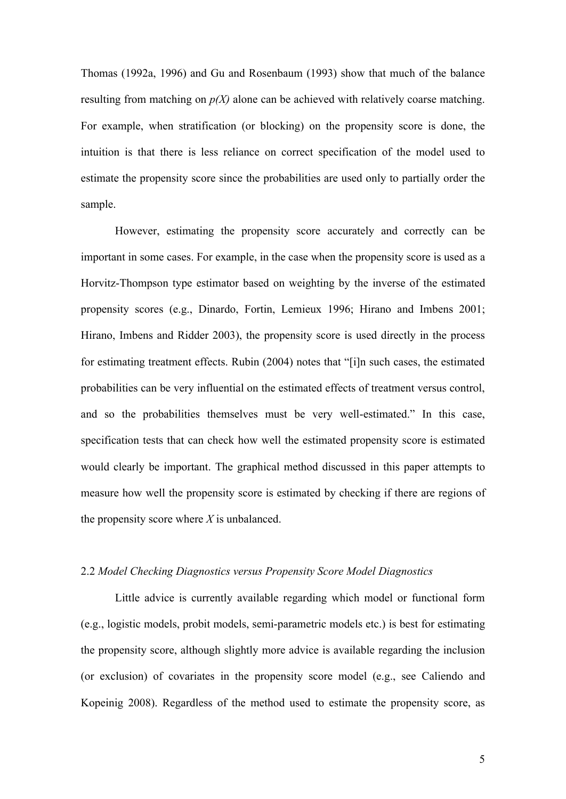Thomas (1992a, 1996) and Gu and Rosenbaum (1993) show that much of the balance resulting from matching on *p(X)* alone can be achieved with relatively coarse matching. For example, when stratification (or blocking) on the propensity score is done, the intuition is that there is less reliance on correct specification of the model used to estimate the propensity score since the probabilities are used only to partially order the sample.

However, estimating the propensity score accurately and correctly can be important in some cases. For example, in the case when the propensity score is used as a Horvitz-Thompson type estimator based on weighting by the inverse of the estimated propensity scores (e.g., Dinardo, Fortin, Lemieux 1996; Hirano and Imbens 2001; Hirano, Imbens and Ridder 2003), the propensity score is used directly in the process for estimating treatment effects. Rubin (2004) notes that "[i]n such cases, the estimated probabilities can be very influential on the estimated effects of treatment versus control, and so the probabilities themselves must be very well-estimated." In this case, specification tests that can check how well the estimated propensity score is estimated would clearly be important. The graphical method discussed in this paper attempts to measure how well the propensity score is estimated by checking if there are regions of the propensity score where *X* is unbalanced.

## 2.2 *Model Checking Diagnostics versus Propensity Score Model Diagnostics*

Little advice is currently available regarding which model or functional form (e.g., logistic models, probit models, semi-parametric models etc.) is best for estimating the propensity score, although slightly more advice is available regarding the inclusion (or exclusion) of covariates in the propensity score model (e.g., see Caliendo and Kopeinig 2008). Regardless of the method used to estimate the propensity score, as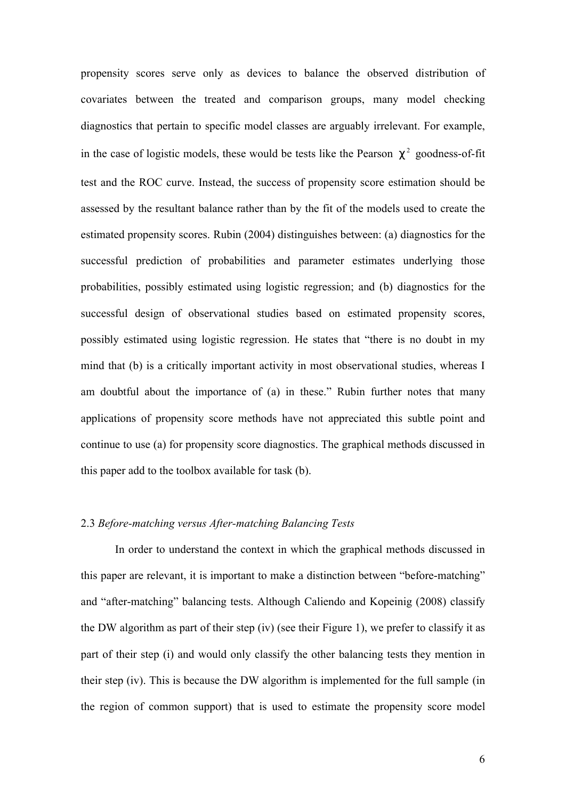propensity scores serve only as devices to balance the observed distribution of covariates between the treated and comparison groups, many model checking diagnostics that pertain to specific model classes are arguably irrelevant. For example, in the case of logistic models, these would be tests like the Pearson  $c^2$  goodness-of-fit test and the ROC curve. Instead, the success of propensity score estimation should be assessed by the resultant balance rather than by the fit of the models used to create the estimated propensity scores. Rubin (2004) distinguishes between: (a) diagnostics for the successful prediction of probabilities and parameter estimates underlying those probabilities, possibly estimated using logistic regression; and (b) diagnostics for the successful design of observational studies based on estimated propensity scores, possibly estimated using logistic regression. He states that "there is no doubt in my mind that (b) is a critically important activity in most observational studies, whereas I am doubtful about the importance of (a) in these." Rubin further notes that many applications of propensity score methods have not appreciated this subtle point and continue to use (a) for propensity score diagnostics. The graphical methods discussed in this paper add to the toolbox available for task (b).

## 2.3 *Before-matching versus After-matching Balancing Tests*

In order to understand the context in which the graphical methods discussed in this paper are relevant, it is important to make a distinction between "before-matching" and "after-matching" balancing tests. Although Caliendo and Kopeinig (2008) classify the DW algorithm as part of their step (iv) (see their Figure 1), we prefer to classify it as part of their step (i) and would only classify the other balancing tests they mention in their step (iv). This is because the DW algorithm is implemented for the full sample (in the region of common support) that is used to estimate the propensity score model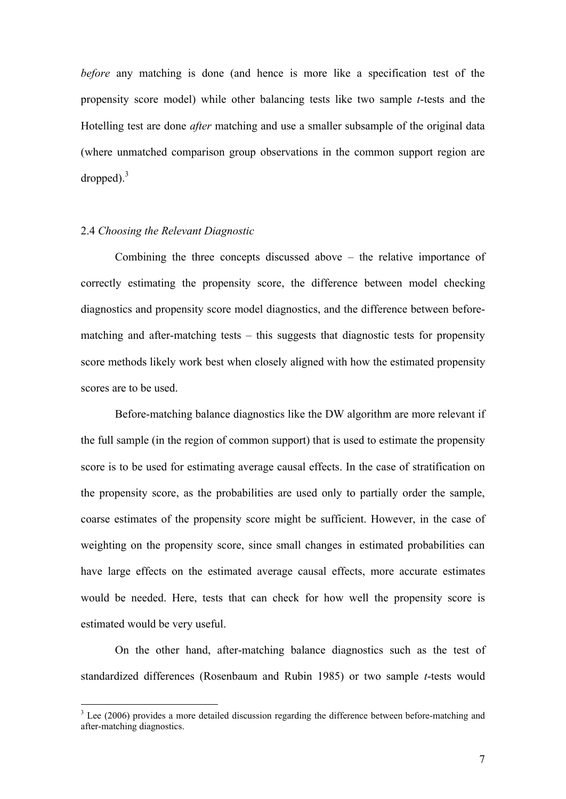*before* any matching is done (and hence is more like a specification test of the propensity score model) while other balancing tests like two sample *t*-tests and the Hotelling test are done *after* matching and use a smaller subsample of the original data (where unmatched comparison group observations in the common support region are dropped). $3$ 

# 2.4 *Choosing the Relevant Diagnostic*

Combining the three concepts discussed above – the relative importance of correctly estimating the propensity score, the difference between model checking diagnostics and propensity score model diagnostics, and the difference between beforematching and after-matching tests – this suggests that diagnostic tests for propensity score methods likely work best when closely aligned with how the estimated propensity scores are to be used.

Before-matching balance diagnostics like the DW algorithm are more relevant if the full sample (in the region of common support) that is used to estimate the propensity score is to be used for estimating average causal effects. In the case of stratification on the propensity score, as the probabilities are used only to partially order the sample, coarse estimates of the propensity score might be sufficient. However, in the case of weighting on the propensity score, since small changes in estimated probabilities can have large effects on the estimated average causal effects, more accurate estimates would be needed. Here, tests that can check for how well the propensity score is estimated would be very useful.

On the other hand, after-matching balance diagnostics such as the test of standardized differences (Rosenbaum and Rubin 1985) or two sample *t*-tests would

<sup>&</sup>lt;sup>3</sup> Lee (2006) provides a more detailed discussion regarding the difference between before-matching and after-matching diagnostics.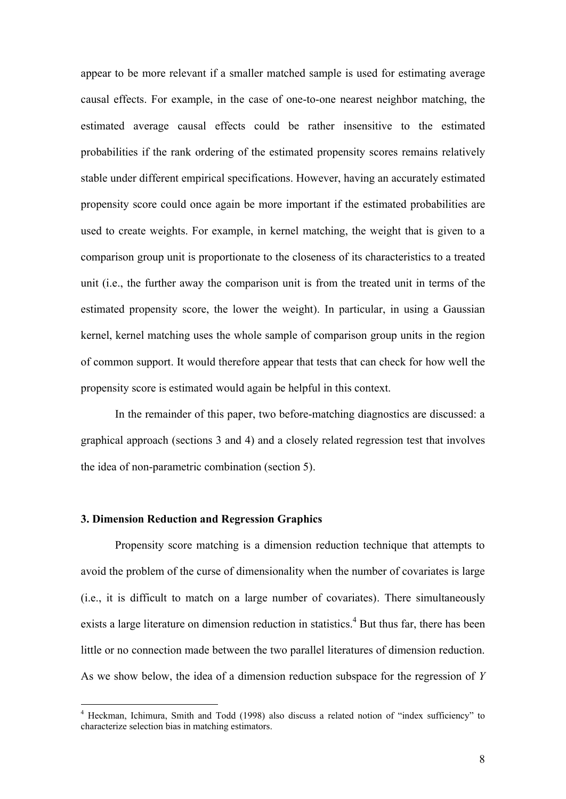appear to be more relevant if a smaller matched sample is used for estimating average causal effects. For example, in the case of one-to-one nearest neighbor matching, the estimated average causal effects could be rather insensitive to the estimated probabilities if the rank ordering of the estimated propensity scores remains relatively stable under different empirical specifications. However, having an accurately estimated propensity score could once again be more important if the estimated probabilities are used to create weights. For example, in kernel matching, the weight that is given to a comparison group unit is proportionate to the closeness of its characteristics to a treated unit (i.e., the further away the comparison unit is from the treated unit in terms of the estimated propensity score, the lower the weight). In particular, in using a Gaussian kernel, kernel matching uses the whole sample of comparison group units in the region of common support. It would therefore appear that tests that can check for how well the propensity score is estimated would again be helpful in this context.

In the remainder of this paper, two before-matching diagnostics are discussed: a graphical approach (sections 3 and 4) and a closely related regression test that involves the idea of non-parametric combination (section 5).

## **3. Dimension Reduction and Regression Graphics**

Propensity score matching is a dimension reduction technique that attempts to avoid the problem of the curse of dimensionality when the number of covariates is large (i.e., it is difficult to match on a large number of covariates). There simultaneously exists a large literature on dimension reduction in statistics.<sup>4</sup> But thus far, there has been little or no connection made between the two parallel literatures of dimension reduction. As we show below, the idea of a dimension reduction subspace for the regression of *Y*

 4 Heckman, Ichimura, Smith and Todd (1998) also discuss a related notion of "index sufficiency" to characterize selection bias in matching estimators.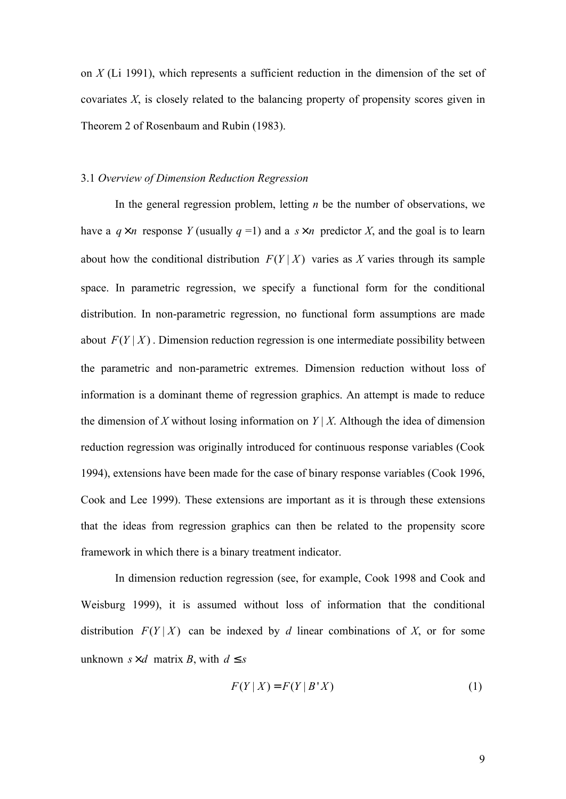on *X* (Li 1991), which represents a sufficient reduction in the dimension of the set of covariates *X*, is closely related to the balancing property of propensity scores given in Theorem 2 of Rosenbaum and Rubin (1983).

### 3.1 *Overview of Dimension Reduction Regression*

In the general regression problem, letting *n* be the number of observations, we have a  $q \times n$  response *Y* (usually  $q = 1$ ) and a  $s \times n$  predictor *X*, and the goal is to learn about how the conditional distribution  $F(Y|X)$  varies as X varies through its sample space. In parametric regression, we specify a functional form for the conditional distribution. In non-parametric regression, no functional form assumptions are made about  $F(Y|X)$ . Dimension reduction regression is one intermediate possibility between the parametric and non-parametric extremes. Dimension reduction without loss of information is a dominant theme of regression graphics. An attempt is made to reduce the dimension of X without losing information on  $Y \mid X$ . Although the idea of dimension reduction regression was originally introduced for continuous response variables (Cook 1994), extensions have been made for the case of binary response variables (Cook 1996, Cook and Lee 1999). These extensions are important as it is through these extensions that the ideas from regression graphics can then be related to the propensity score framework in which there is a binary treatment indicator.

In dimension reduction regression (see, for example, Cook 1998 and Cook and Weisburg 1999), it is assumed without loss of information that the conditional distribution  $F(Y|X)$  can be indexed by *d* linear combinations of X, or for some unknown  $s \times d$  matrix *B*, with  $d \leq s$ 

$$
F(Y \mid X) = F(Y \mid B^*X) \tag{1}
$$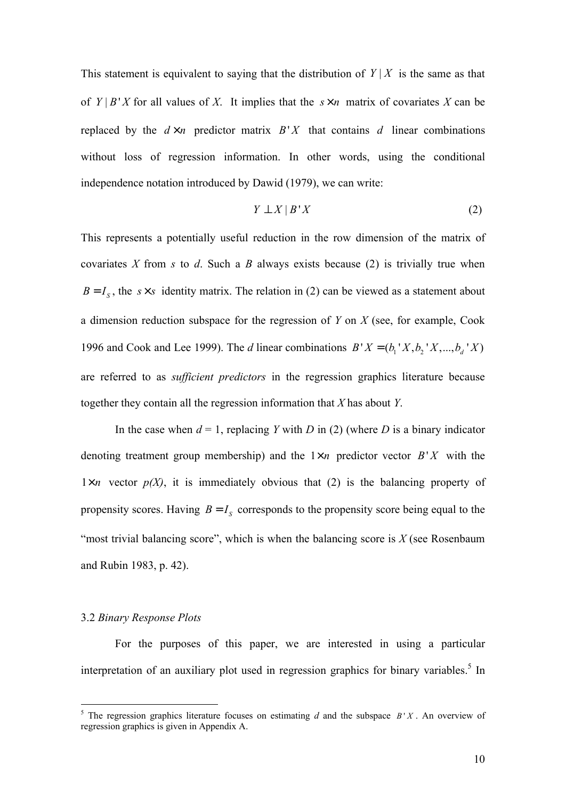This statement is equivalent to saying that the distribution of  $Y|X$  is the same as that of  $Y | B' X$  for all values of *X*. It implies that the  $s \times n$  matrix of covariates *X* can be replaced by the  $d \times n$  predictor matrix  $B'X$  that contains *d* linear combinations without loss of regression information. In other words, using the conditional independence notation introduced by Dawid (1979), we can write:

$$
Y \perp X \mid B \mid X \tag{2}
$$

This represents a potentially useful reduction in the row dimension of the matrix of covariates *X* from *s* to *d*. Such a *B* always exists because (2) is trivially true when  $B = I_s$ , the *s*×*s* identity matrix. The relation in (2) can be viewed as a statement about a dimension reduction subspace for the regression of *Y* on *X* (see, for example, Cook 1996 and Cook and Lee 1999). The *d* linear combinations  $B'X = (b_1'X, b_2'X, ..., b_d'X)$ are referred to as *sufficient predictors* in the regression graphics literature because together they contain all the regression information that *X* has about *Y*.

In the case when  $d = 1$ , replacing *Y* with *D* in (2) (where *D* is a binary indicator denoting treatment group membership) and the  $1 \times n$  predictor vector  $B'X$  with the  $1 \times n$  vector  $p(X)$ , it is immediately obvious that (2) is the balancing property of propensity scores. Having  $B = I_s$  corresponds to the propensity score being equal to the "most trivial balancing score", which is when the balancing score is  $X$  (see Rosenbaum) and Rubin 1983, p. 42).

### 3.2 *Binary Response Plots*

 $\overline{a}$ 

For the purposes of this paper, we are interested in using a particular interpretation of an auxiliary plot used in regression graphics for binary variables.<sup>5</sup> In

<sup>&</sup>lt;sup>5</sup> The regression graphics literature focuses on estimating *d* and the subspace  $B'X$ . An overview of regression graphics is given in Appendix A.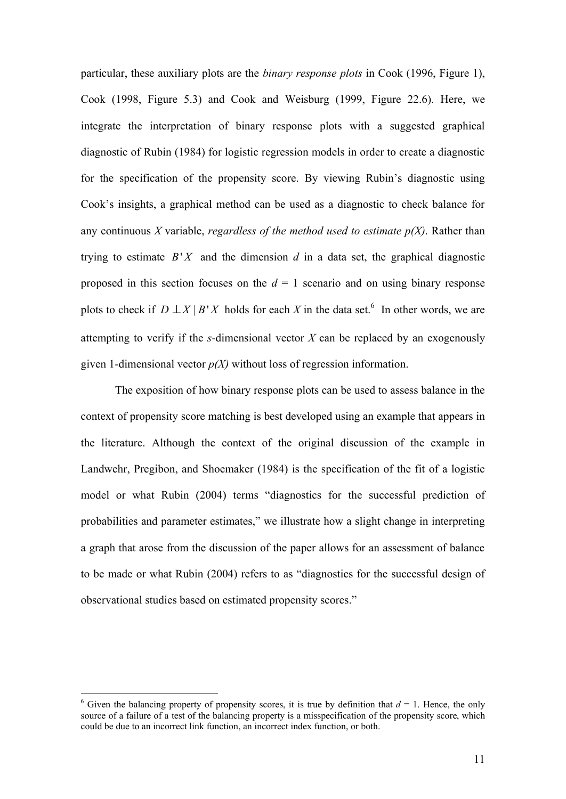particular, these auxiliary plots are the *binary response plots* in Cook (1996, Figure 1), Cook (1998, Figure 5.3) and Cook and Weisburg (1999, Figure 22.6). Here, we integrate the interpretation of binary response plots with a suggested graphical diagnostic of Rubin (1984) for logistic regression models in order to create a diagnostic for the specification of the propensity score. By viewing Rubin's diagnostic using Cook's insights, a graphical method can be used as a diagnostic to check balance for any continuous *X* variable, *regardless of the method used to estimate p(X)*. Rather than trying to estimate  $B'X$  and the dimension  $d$  in a data set, the graphical diagnostic proposed in this section focuses on the  $d = 1$  scenario and on using binary response plots to check if  $D \perp X \mid B'X$  holds for each *X* in the data set.<sup>6</sup> In other words, we are attempting to verify if the *s*-dimensional vector *X* can be replaced by an exogenously given 1-dimensional vector *p(X)* without loss of regression information.

The exposition of how binary response plots can be used to assess balance in the context of propensity score matching is best developed using an example that appears in the literature. Although the context of the original discussion of the example in Landwehr, Pregibon, and Shoemaker (1984) is the specification of the fit of a logistic model or what Rubin (2004) terms "diagnostics for the successful prediction of probabilities and parameter estimates," we illustrate how a slight change in interpreting a graph that arose from the discussion of the paper allows for an assessment of balance to be made or what Rubin (2004) refers to as "diagnostics for the successful design of observational studies based on estimated propensity scores."

 $\overline{a}$ 

<sup>&</sup>lt;sup>6</sup> Given the balancing property of propensity scores, it is true by definition that  $d = 1$ . Hence, the only source of a failure of a test of the balancing property is a misspecification of the propensity score, which could be due to an incorrect link function, an incorrect index function, or both.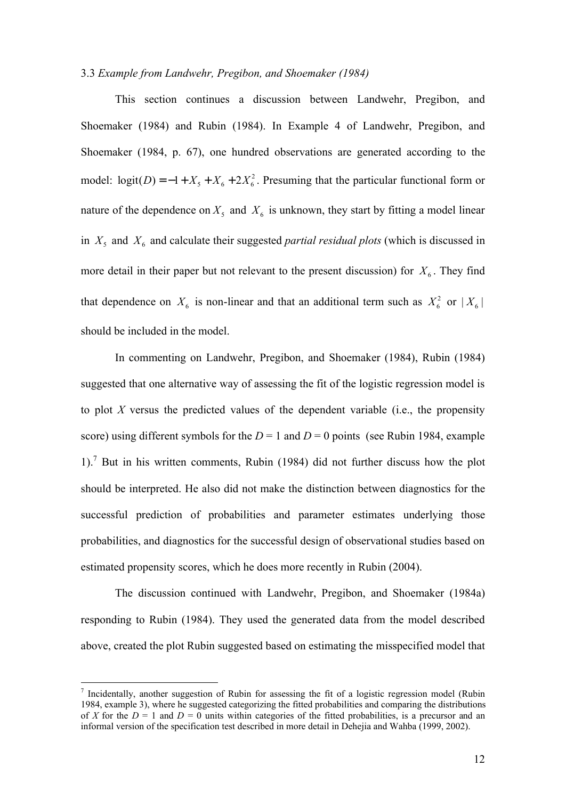## 3.3 *Example from Landwehr, Pregibon, and Shoemaker (1984)*

This section continues a discussion between Landwehr, Pregibon, and Shoemaker (1984) and Rubin (1984). In Example 4 of Landwehr, Pregibon, and Shoemaker (1984, p. 67), one hundred observations are generated according to the model:  $logit(D) = -1 + X_5 + X_6 + 2X_6^2$ . Presuming that the particular functional form or nature of the dependence on  $X_5$  and  $X_6$  is unknown, they start by fitting a model linear in  $X_5$  and  $X_6$  and calculate their suggested *partial residual plots* (which is discussed in more detail in their paper but not relevant to the present discussion) for  $X_6$ . They find that dependence on  $X_6$  is non-linear and that an additional term such as  $X_6^2$  or  $|X_6|$ should be included in the model.

In commenting on Landwehr, Pregibon, and Shoemaker (1984), Rubin (1984) suggested that one alternative way of assessing the fit of the logistic regression model is to plot *X* versus the predicted values of the dependent variable (i.e., the propensity score) using different symbols for the  $D = 1$  and  $D = 0$  points (see Rubin 1984, example 1).<sup>7</sup> But in his written comments, Rubin (1984) did not further discuss how the plot should be interpreted. He also did not make the distinction between diagnostics for the successful prediction of probabilities and parameter estimates underlying those probabilities, and diagnostics for the successful design of observational studies based on estimated propensity scores, which he does more recently in Rubin (2004).

The discussion continued with Landwehr, Pregibon, and Shoemaker (1984a) responding to Rubin (1984). They used the generated data from the model described above, created the plot Rubin suggested based on estimating the misspecified model that

 $\overline{a}$ 

<sup>&</sup>lt;sup>7</sup> Incidentally, another suggestion of Rubin for assessing the fit of a logistic regression model (Rubin 1984, example 3), where he suggested categorizing the fitted probabilities and comparing the distributions of *X* for the  $D = 1$  and  $D = 0$  units within categories of the fitted probabilities, is a precursor and an informal version of the specification test described in more detail in Dehejia and Wahba (1999, 2002).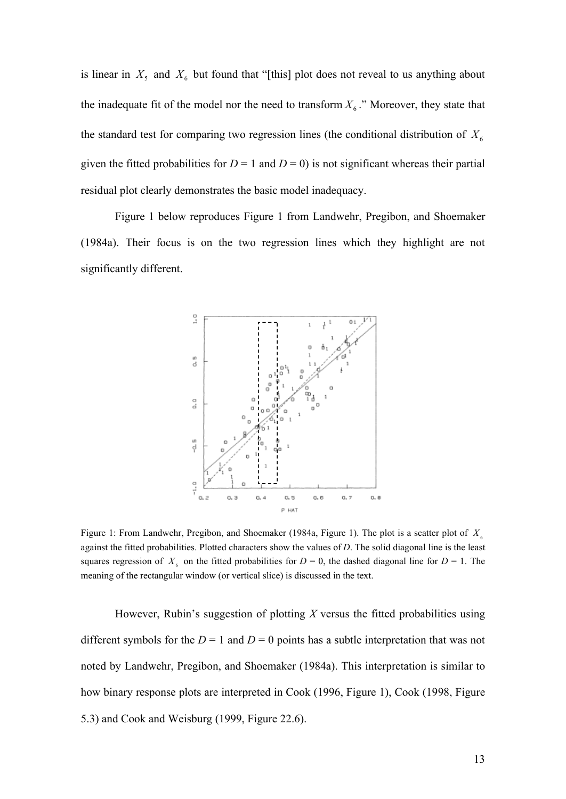is linear in  $X_5$  and  $X_6$  but found that "[this] plot does not reveal to us anything about the inadequate fit of the model nor the need to transform  $X_6$ ." Moreover, they state that the standard test for comparing two regression lines (the conditional distribution of  $X_6$ given the fitted probabilities for  $D = 1$  and  $D = 0$ ) is not significant whereas their partial residual plot clearly demonstrates the basic model inadequacy.

Figure 1 below reproduces Figure 1 from Landwehr, Pregibon, and Shoemaker (1984a). Their focus is on the two regression lines which they highlight are not significantly different.



Figure 1: From Landwehr, Pregibon, and Shoemaker (1984a, Figure 1). The plot is a scatter plot of  $X_6$ against the fitted probabilities. Plotted characters show the values of *D*. The solid diagonal line is the least squares regression of  $X<sub>6</sub>$  on the fitted probabilities for  $D = 0$ , the dashed diagonal line for  $D = 1$ . The meaning of the rectangular window (or vertical slice) is discussed in the text.

However, Rubin's suggestion of plotting *X* versus the fitted probabilities using different symbols for the  $D = 1$  and  $D = 0$  points has a subtle interpretation that was not noted by Landwehr, Pregibon, and Shoemaker (1984a). This interpretation is similar to how binary response plots are interpreted in Cook (1996, Figure 1), Cook (1998, Figure 5.3) and Cook and Weisburg (1999, Figure 22.6).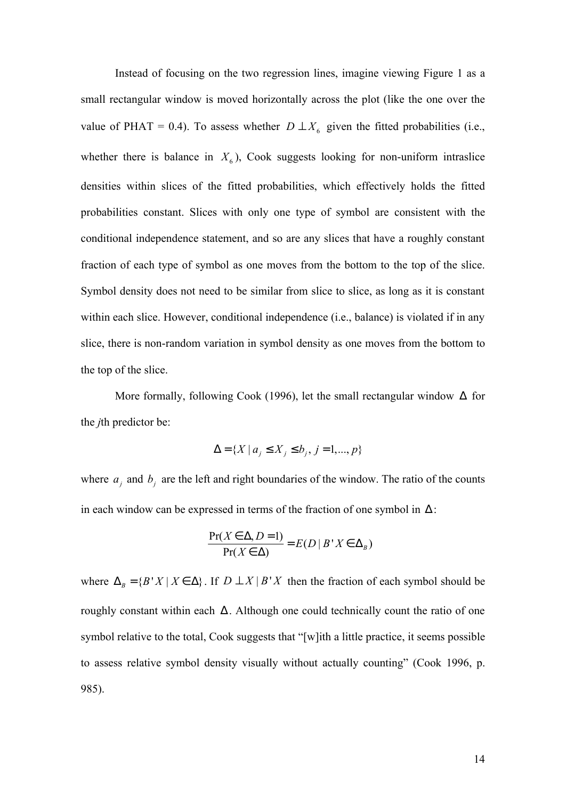Instead of focusing on the two regression lines, imagine viewing Figure 1 as a small rectangular window is moved horizontally across the plot (like the one over the value of PHAT = 0.4). To assess whether  $D \perp X_6$  given the fitted probabilities (i.e., whether there is balance in  $X_6$ ), Cook suggests looking for non-uniform intraslice densities within slices of the fitted probabilities, which effectively holds the fitted probabilities constant. Slices with only one type of symbol are consistent with the conditional independence statement, and so are any slices that have a roughly constant fraction of each type of symbol as one moves from the bottom to the top of the slice. Symbol density does not need to be similar from slice to slice, as long as it is constant within each slice. However, conditional independence (i.e., balance) is violated if in any slice, there is non-random variation in symbol density as one moves from the bottom to the top of the slice.

More formally, following Cook (1996), let the small rectangular window  $\Delta$  for the *j*th predictor be:

$$
\Delta = \{ X \mid a_j \le X_j \le b_j, j = 1, ..., p \}
$$

where  $a_j$  and  $b_j$  are the left and right boundaries of the window. The ratio of the counts in each window can be expressed in terms of the fraction of one symbol in  $\Delta$ :

$$
\frac{\Pr(X \in \Delta, D = 1)}{\Pr(X \in \Delta)} = E(D \mid B \mid X \in \Delta_B)
$$

where  $\Delta_B = \{ B' X | X \in \Delta \}$ . If  $D \perp X | B'X$  then the fraction of each symbol should be roughly constant within each  $\Delta$ . Although one could technically count the ratio of one symbol relative to the total, Cook suggests that "[w]ith a little practice, it seems possible to assess relative symbol density visually without actually counting" (Cook 1996, p. 985).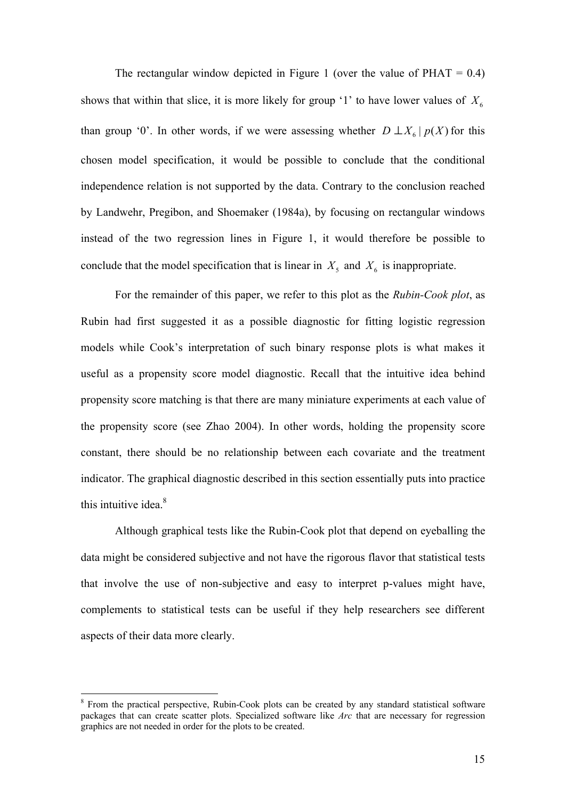The rectangular window depicted in Figure 1 (over the value of  $PHAT = 0.4$ ) shows that within that slice, it is more likely for group '1' to have lower values of  $X_6$ than group '0'. In other words, if we were assessing whether  $D \perp X_6 | p(X)$  for this chosen model specification, it would be possible to conclude that the conditional independence relation is not supported by the data. Contrary to the conclusion reached by Landwehr, Pregibon, and Shoemaker (1984a), by focusing on rectangular windows instead of the two regression lines in Figure 1, it would therefore be possible to conclude that the model specification that is linear in  $X_5$  and  $X_6$  is inappropriate.

For the remainder of this paper, we refer to this plot as the *Rubin-Cook plot*, as Rubin had first suggested it as a possible diagnostic for fitting logistic regression models while Cook's interpretation of such binary response plots is what makes it useful as a propensity score model diagnostic. Recall that the intuitive idea behind propensity score matching is that there are many miniature experiments at each value of the propensity score (see Zhao 2004). In other words, holding the propensity score constant, there should be no relationship between each covariate and the treatment indicator. The graphical diagnostic described in this section essentially puts into practice this intuitive idea.<sup>8</sup>

Although graphical tests like the Rubin-Cook plot that depend on eyeballing the data might be considered subjective and not have the rigorous flavor that statistical tests that involve the use of non-subjective and easy to interpret p-values might have, complements to statistical tests can be useful if they help researchers see different aspects of their data more clearly.

 $\overline{a}$ 

<sup>&</sup>lt;sup>8</sup> From the practical perspective, Rubin-Cook plots can be created by any standard statistical software packages that can create scatter plots. Specialized software like *Arc* that are necessary for regression graphics are not needed in order for the plots to be created.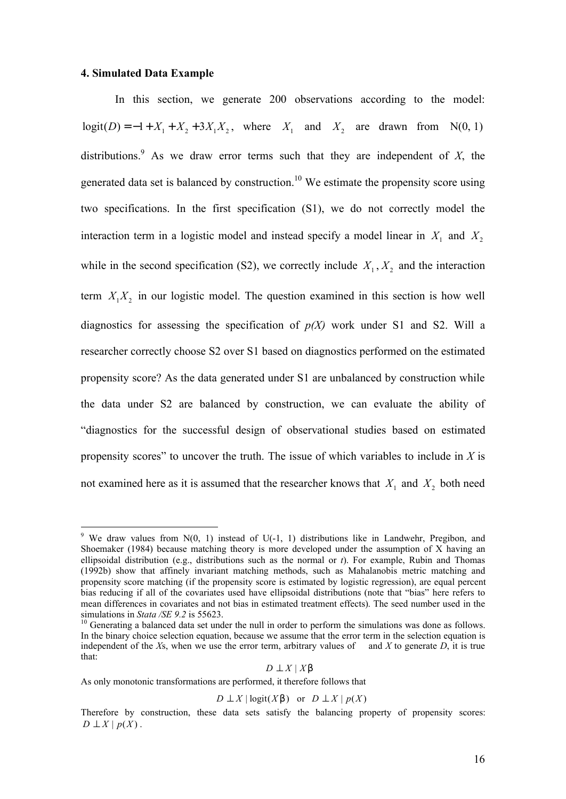### **4. Simulated Data Example**

 $\overline{a}$ 

In this section, we generate 200 observations according to the model:  $logit(D) = -1 + X_1 + X_2 + 3X_1X_2$ , where  $X_1$  and  $X_2$  are drawn from N(0, 1) distributions.<sup>9</sup> As we draw error terms such that they are independent of  $X$ , the generated data set is balanced by construction.<sup>10</sup> We estimate the propensity score using two specifications. In the first specification (S1), we do not correctly model the interaction term in a logistic model and instead specify a model linear in  $X_1$  and  $X_2$ while in the second specification (S2), we correctly include  $X_1, X_2$  and the interaction term  $X_1 X_2$  in our logistic model. The question examined in this section is how well diagnostics for assessing the specification of  $p(X)$  work under S1 and S2. Will a researcher correctly choose S2 over S1 based on diagnostics performed on the estimated propensity score? As the data generated under S1 are unbalanced by construction while the data under S2 are balanced by construction, we can evaluate the ability of "diagnostics for the successful design of observational studies based on estimated propensity scores" to uncover the truth. The issue of which variables to include in *X* is not examined here as it is assumed that the researcher knows that  $X_1$  and  $X_2$  both need

As only monotonic transformations are performed, it therefore follows that

$$
D \perp X \mid \text{logit}(X\mathsf{b}) \quad \text{or} \quad D \perp X \mid p(X)
$$

<sup>&</sup>lt;sup>9</sup> We draw values from  $N(0, 1)$  instead of U(-1, 1) distributions like in Landwehr, Pregibon, and Shoemaker (1984) because matching theory is more developed under the assumption of X having an ellipsoidal distribution (e.g., distributions such as the normal or *t*). For example, Rubin and Thomas (1992b) show that affinely invariant matching methods, such as Mahalanobis metric matching and propensity score matching (if the propensity score is estimated by logistic regression), are equal percent bias reducing if all of the covariates used have ellipsoidal distributions (note that "bias" here refers to mean differences in covariates and not bias in estimated treatment effects). The seed number used in the simulations in *Stata /SE 9.2* is 55623.

<sup>&</sup>lt;sup>10</sup> Generating a balanced data set under the null in order to perform the simulations was done as follows. In the binary choice selection equation, because we assume that the error term in the selection equation is independent of the  $X_s$ , when we use the error term, arbitrary values of and  $X$  to generate  $D$ , it is true that:

*D* ⊥ *X* | *X b*

Therefore by construction, these data sets satisfy the balancing property of propensity scores:  $D \perp X \mid p(X)$ .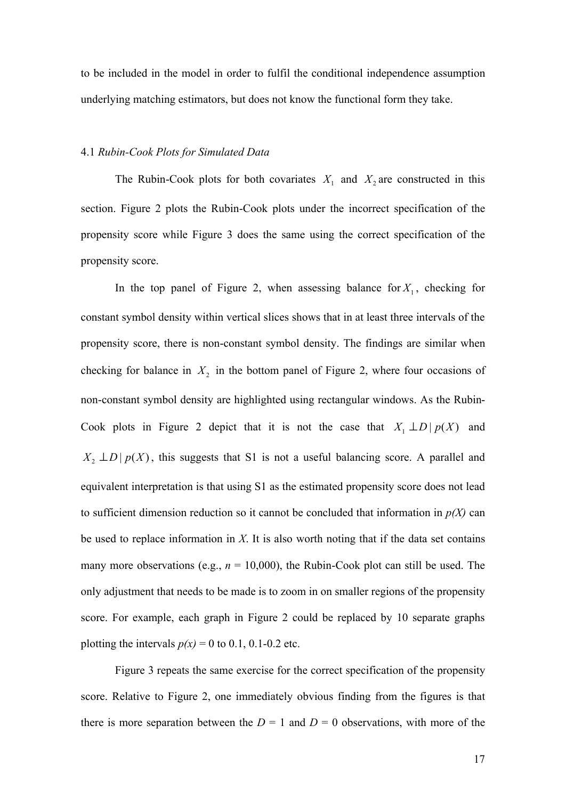to be included in the model in order to fulfil the conditional independence assumption underlying matching estimators, but does not know the functional form they take.

### 4.1 *Rubin-Cook Plots for Simulated Data*

The Rubin-Cook plots for both covariates  $X_1$  and  $X_2$  are constructed in this section. Figure 2 plots the Rubin-Cook plots under the incorrect specification of the propensity score while Figure 3 does the same using the correct specification of the propensity score.

In the top panel of Figure 2, when assessing balance for  $X_1$ , checking for constant symbol density within vertical slices shows that in at least three intervals of the propensity score, there is non-constant symbol density. The findings are similar when checking for balance in  $X_2$  in the bottom panel of Figure 2, where four occasions of non-constant symbol density are highlighted using rectangular windows. As the Rubin-Cook plots in Figure 2 depict that it is not the case that  $X_1 \perp D | p(X)$  and  $X_2 \perp D | p(X)$ , this suggests that S1 is not a useful balancing score. A parallel and equivalent interpretation is that using S1 as the estimated propensity score does not lead to sufficient dimension reduction so it cannot be concluded that information in  $p(X)$  can be used to replace information in *X*. It is also worth noting that if the data set contains many more observations (e.g.,  $n = 10,000$ ), the Rubin-Cook plot can still be used. The only adjustment that needs to be made is to zoom in on smaller regions of the propensity score. For example, each graph in Figure 2 could be replaced by 10 separate graphs plotting the intervals  $p(x) = 0$  to 0.1, 0.1-0.2 etc.

Figure 3 repeats the same exercise for the correct specification of the propensity score. Relative to Figure 2, one immediately obvious finding from the figures is that there is more separation between the  $D = 1$  and  $D = 0$  observations, with more of the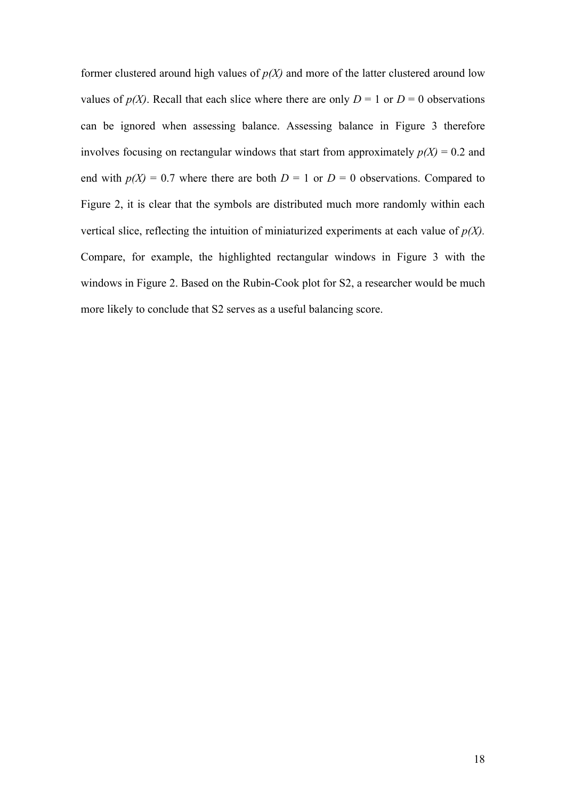former clustered around high values of  $p(X)$  and more of the latter clustered around low values of  $p(X)$ . Recall that each slice where there are only  $D = 1$  or  $D = 0$  observations can be ignored when assessing balance. Assessing balance in Figure 3 therefore involves focusing on rectangular windows that start from approximately  $p(X) = 0.2$  and end with  $p(X) = 0.7$  where there are both  $D = 1$  or  $D = 0$  observations. Compared to Figure 2, it is clear that the symbols are distributed much more randomly within each vertical slice, reflecting the intuition of miniaturized experiments at each value of *p(X).* Compare, for example, the highlighted rectangular windows in Figure 3 with the windows in Figure 2. Based on the Rubin-Cook plot for S2, a researcher would be much more likely to conclude that S2 serves as a useful balancing score.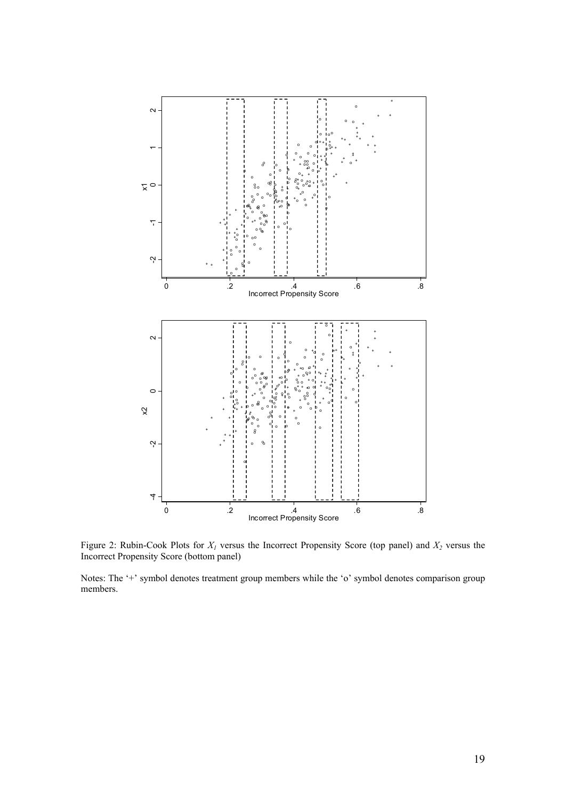

Figure 2: Rubin-Cook Plots for *X<sup>1</sup>* versus the Incorrect Propensity Score (top panel) and *X<sup>2</sup>* versus the Incorrect Propensity Score (bottom panel)

Notes: The '+' symbol denotes treatment group members while the 'o' symbol denotes comparison group members.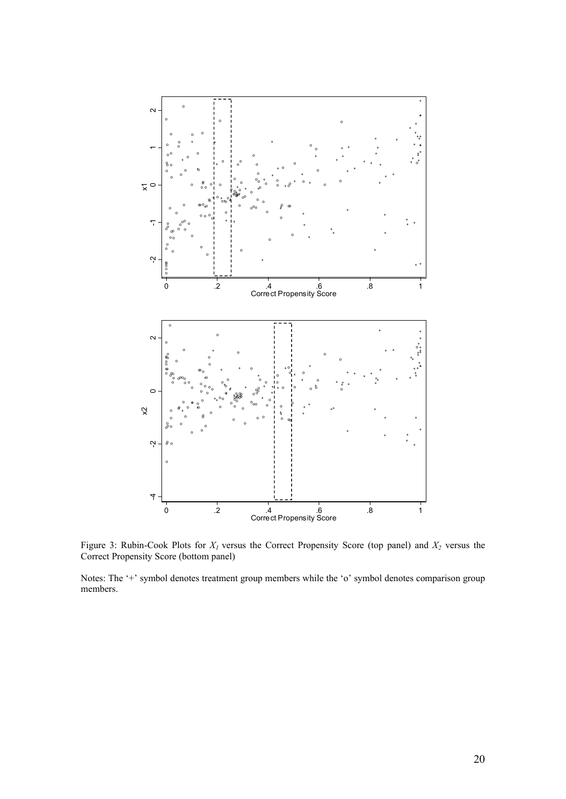

Figure 3: Rubin-Cook Plots for *X<sup>1</sup>* versus the Correct Propensity Score (top panel) and *X2* versus the Correct Propensity Score (bottom panel)

Notes: The '+' symbol denotes treatment group members while the 'o' symbol denotes comparison group members.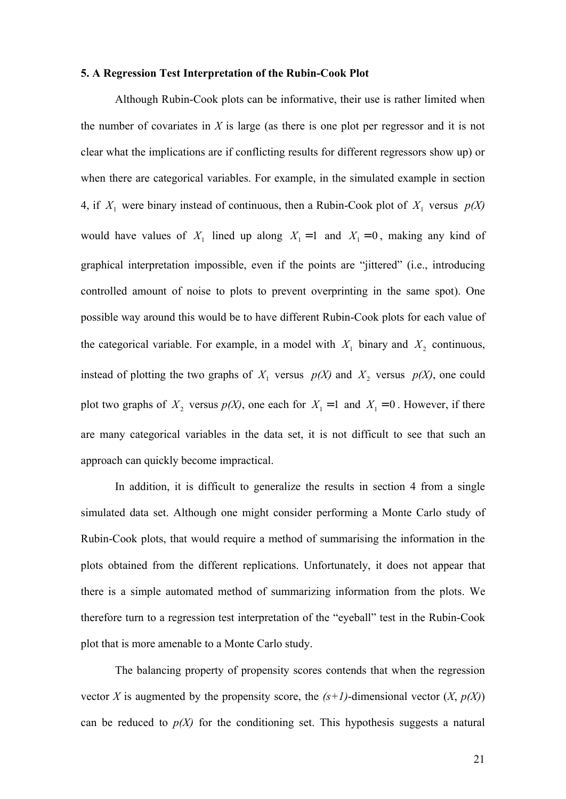#### **5. A Regression Test Interpretation of the Rubin-Cook Plot**

Although Rubin-Cook plots can be informative, their use is rather limited when the number of covariates in *X* is large (as there is one plot per regressor and it is not clear what the implications are if conflicting results for different regressors show up) or when there are categorical variables. For example, in the simulated example in section 4, if  $X_1$  were binary instead of continuous, then a Rubin-Cook plot of  $X_1$  versus  $p(X)$ would have values of  $X_1$  lined up along  $X_1 = 1$  and  $X_1 = 0$ , making any kind of graphical interpretation impossible, even if the points are "jittered" (i.e., introducing controlled amount of noise to plots to prevent overprinting in the same spot). One possible way around this would be to have different Rubin-Cook plots for each value of the categorical variable. For example, in a model with  $X_1$  binary and  $X_2$  continuous, instead of plotting the two graphs of  $X_1$  versus  $p(X)$  and  $X_2$  versus  $p(X)$ , one could plot two graphs of  $X_2$  versus  $p(X)$ , one each for  $X_1 = 1$  and  $X_1 = 0$ . However, if there are many categorical variables in the data set, it is not difficult to see that such an approach can quickly become impractical.

In addition, it is difficult to generalize the results in section 4 from a single simulated data set. Although one might consider performing a Monte Carlo study of Rubin-Cook plots, that would require a method of summarising the information in the plots obtained from the different replications. Unfortunately, it does not appear that there is a simple automated method of summarizing information from the plots. We therefore turn to a regression test interpretation of the "eyeball" test in the Rubin-Cook plot that is more amenable to a Monte Carlo study.

The balancing property of propensity scores contends that when the regression vector *X* is augmented by the propensity score, the  $(s+1)$ -dimensional vector  $(X, p(X))$ can be reduced to  $p(X)$  for the conditioning set. This hypothesis suggests a natural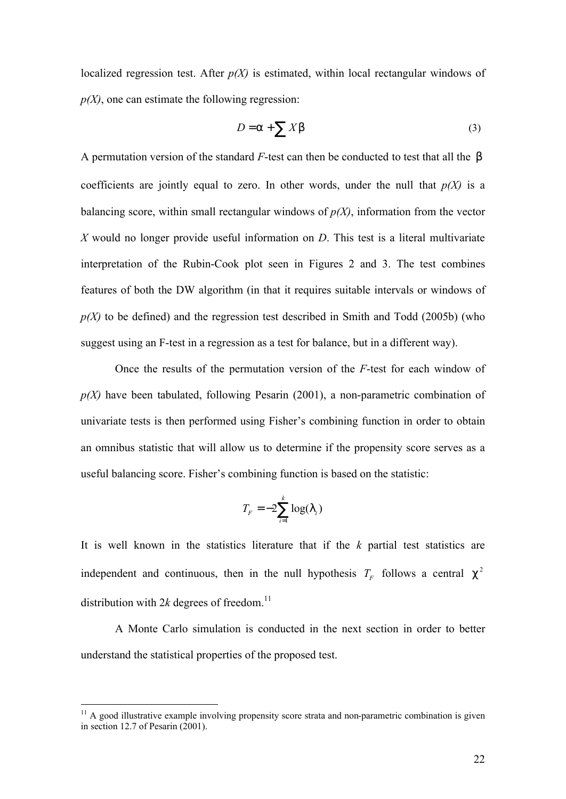localized regression test. After  $p(X)$  is estimated, within local rectangular windows of  $p(X)$ , one can estimate the following regression:

$$
D = a + \sum Xb
$$
 (3)

A permutation version of the standard *F*-test can then be conducted to test that all the *b* coefficients are jointly equal to zero. In other words, under the null that  $p(X)$  is a balancing score, within small rectangular windows of *p(X)*, information from the vector *X* would no longer provide useful information on *D*. This test is a literal multivariate interpretation of the Rubin-Cook plot seen in Figures 2 and 3. The test combines features of both the DW algorithm (in that it requires suitable intervals or windows of  $p(X)$  to be defined) and the regression test described in Smith and Todd (2005b) (who suggest using an F-test in a regression as a test for balance, but in a different way).

Once the results of the permutation version of the *F*-test for each window of *p(X)* have been tabulated, following Pesarin (2001), a non-parametric combination of univariate tests is then performed using Fisher's combining function in order to obtain an omnibus statistic that will allow us to determine if the propensity score serves as a useful balancing score. Fisher's combining function is based on the statistic:

$$
T_F = -2\sum_{i=1}^k \log(1_i)
$$

It is well known in the statistics literature that if the *k* partial test statistics are independent and continuous, then in the null hypothesis  $T_F$  follows a central  $c^2$ distribution with  $2k$  degrees of freedom.<sup>11</sup>

A Monte Carlo simulation is conducted in the next section in order to better understand the statistical properties of the proposed test.

 $\overline{a}$ 

 $11$  A good illustrative example involving propensity score strata and non-parametric combination is given in section 12.7 of Pesarin (2001).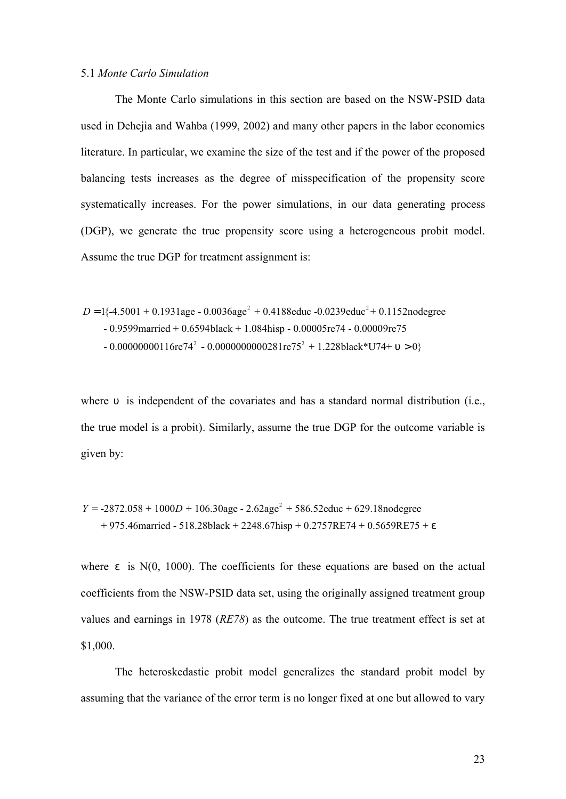### 5.1 *Monte Carlo Simulation*

The Monte Carlo simulations in this section are based on the NSW-PSID data used in Dehejia and Wahba (1999, 2002) and many other papers in the labor economics literature. In particular, we examine the size of the test and if the power of the proposed balancing tests increases as the degree of misspecification of the propensity score systematically increases. For the power simulations, in our data generating process (DGP), we generate the true propensity score using a heterogeneous probit model. Assume the true DGP for treatment assignment is:

$$
D = 1\{-4.5001 + 0.1931\text{age} - 0.0036\text{age}^2 + 0.4188\text{educ} - 0.0239\text{educ}^2 + 0.1152\text{nodegree}
$$
  
- 0.9599married + 0.6594black + 1.084high - 0.00005re74 - 0.00009re75  
- 0.00000000116re74<sup>2</sup> - 0.0000000000281re75<sup>2</sup> + 1.228black\*U74+ u > 0}

where *u* is independent of the covariates and has a standard normal distribution (i.e., the true model is a probit). Similarly, assume the true DGP for the outcome variable is given by:

 $Y = -2872.058 + 1000D + 106.30$ age - 2.62age<sup>2</sup> + 586.52educ + 629.18nodegree + 975.46married - 518.28black + 2248.67hisp + 0.2757RE74 + 0.5659RE75 + *e*

where *e* is N(0, 1000). The coefficients for these equations are based on the actual coefficients from the NSW-PSID data set, using the originally assigned treatment group values and earnings in 1978 (*RE78*) as the outcome. The true treatment effect is set at \$1,000.

The heteroskedastic probit model generalizes the standard probit model by assuming that the variance of the error term is no longer fixed at one but allowed to vary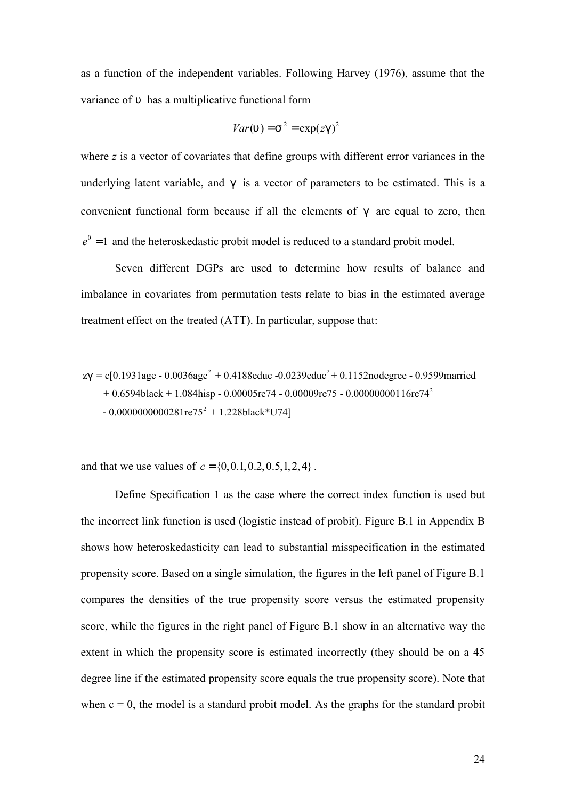as a function of the independent variables. Following Harvey (1976), assume that the variance of *u* has a multiplicative functional form

$$
Var(u) = s2 = exp( zg )2
$$

where *z* is a vector of covariates that define groups with different error variances in the underlying latent variable, and *g* is a vector of parameters to be estimated. This is a convenient functional form because if all the elements of *g* are equal to zero, then  $e^0$  = 1 and the heteroskedastic probit model is reduced to a standard probit model.

Seven different DGPs are used to determine how results of balance and imbalance in covariates from permutation tests relate to bias in the estimated average treatment effect on the treated (ATT). In particular, suppose that:

$$
zg = c[0.1931age - 0.0036age2 + 0.4188educ -0.0239educ2 + 0.1152nodegree - 0.9599married+ 0.6594black + 1.084hisp - 0.00005re74 - 0.00009re75 - 0.00000000116re742- 0.00000000000281re752 + 1.228black*U74]
$$

and that we use values of  $c = \{0, 0, 1, 0.2, 0.5, 1, 2, 4\}$ .

Define Specification 1 as the case where the correct index function is used but the incorrect link function is used (logistic instead of probit). Figure B.1 in Appendix B shows how heteroskedasticity can lead to substantial misspecification in the estimated propensity score. Based on a single simulation, the figures in the left panel of Figure B.1 compares the densities of the true propensity score versus the estimated propensity score, while the figures in the right panel of Figure B.1 show in an alternative way the extent in which the propensity score is estimated incorrectly (they should be on a 45 degree line if the estimated propensity score equals the true propensity score). Note that when  $c = 0$ , the model is a standard probit model. As the graphs for the standard probit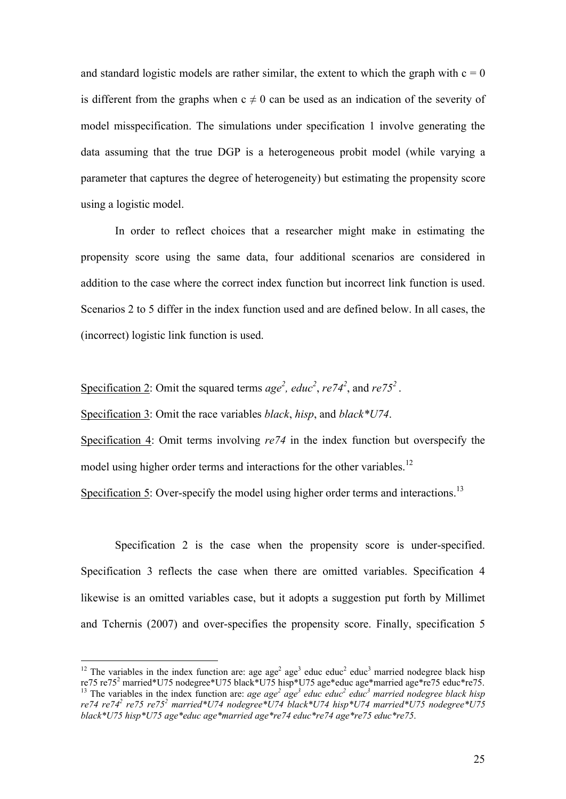and standard logistic models are rather similar, the extent to which the graph with  $c = 0$ is different from the graphs when  $c \neq 0$  can be used as an indication of the severity of model misspecification. The simulations under specification 1 involve generating the data assuming that the true DGP is a heterogeneous probit model (while varying a parameter that captures the degree of heterogeneity) but estimating the propensity score using a logistic model.

In order to reflect choices that a researcher might make in estimating the propensity score using the same data, four additional scenarios are considered in addition to the case where the correct index function but incorrect link function is used. Scenarios 2 to 5 differ in the index function used and are defined below. In all cases, the (incorrect) logistic link function is used.

Specification 2: Omit the squared terms  $age^2$ ,  $educ^2$ ,  $re74^2$ , and  $re75^2$ .

Specification 3: Omit the race variables *black*, *hisp*, and *black\*U74*.

 $\overline{a}$ 

Specification 4: Omit terms involving  $re74$  in the index function but overspecify the model using higher order terms and interactions for the other variables.<sup>12</sup>

Specification 5: Over-specify the model using higher order terms and interactions.<sup>13</sup>

Specification 2 is the case when the propensity score is under-specified. Specification 3 reflects the case when there are omitted variables. Specification 4 likewise is an omitted variables case, but it adopts a suggestion put forth by Millimet and Tchernis (2007) and over-specifies the propensity score. Finally, specification 5

<sup>&</sup>lt;sup>12</sup> The variables in the index function are: age age<sup>2</sup> age<sup>3</sup> educ educ<sup>2</sup> educ<sup>3</sup> married nodegree black hisp re75 re75<sup>2</sup> married\*U75 nodegree\*U75 black\*U75 hisp\*U75 age\*educ age\*married age\*re75 educ\*re75. <sup>13</sup> The variables in the index function are: *age age<sup>2</sup>* age<sup>3</sup> educ educ<sup>2</sup> educ<sup>3</sup> married nodegree black hisp *re74 re74<sup>2</sup> re75 re75<sup>2</sup> married\*U74 nodegree\*U74 black\*U74 hisp\*U74 married\*U75 nodegree\*U75 black\*U75 hisp\*U75 age\*educ age\*married age\*re74 educ\*re74 age\*re75 educ\*re75*.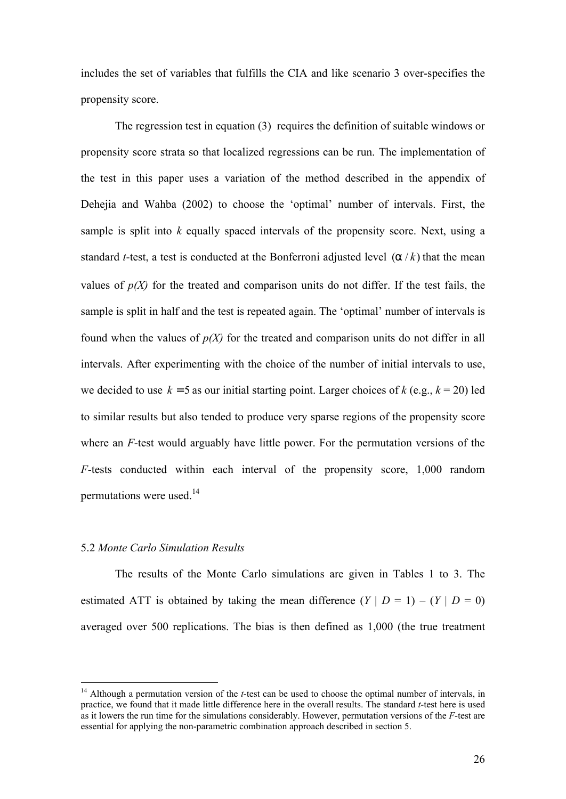includes the set of variables that fulfills the CIA and like scenario 3 over-specifies the propensity score.

The regression test in equation (3) requires the definition of suitable windows or propensity score strata so that localized regressions can be run. The implementation of the test in this paper uses a variation of the method described in the appendix of Dehejia and Wahba (2002) to choose the 'optimal' number of intervals. First, the sample is split into *k* equally spaced intervals of the propensity score. Next, using a standard *t*-test, a test is conducted at the Bonferroni adjusted level (*a* / *k*) that the mean values of  $p(X)$  for the treated and comparison units do not differ. If the test fails, the sample is split in half and the test is repeated again. The 'optimal' number of intervals is found when the values of *p(X)* for the treated and comparison units do not differ in all intervals. After experimenting with the choice of the number of initial intervals to use, we decided to use  $k = 5$  as our initial starting point. Larger choices of  $k$  (e.g.,  $k = 20$ ) led to similar results but also tended to produce very sparse regions of the propensity score where an *F*-test would arguably have little power. For the permutation versions of the *F*-tests conducted within each interval of the propensity score, 1,000 random permutations were used.<sup>14</sup>

## 5.2 *Monte Carlo Simulation Results*

 $\overline{a}$ 

The results of the Monte Carlo simulations are given in Tables 1 to 3. The estimated ATT is obtained by taking the mean difference  $(Y | D = 1) - (Y | D = 0)$ averaged over 500 replications. The bias is then defined as 1,000 (the true treatment

<sup>&</sup>lt;sup>14</sup> Although a permutation version of the *t*-test can be used to choose the optimal number of intervals, in practice, we found that it made little difference here in the overall results. The standard *t*-test here is used as it lowers the run time for the simulations considerably. However, permutation versions of the *F*-test are essential for applying the non-parametric combination approach described in section 5.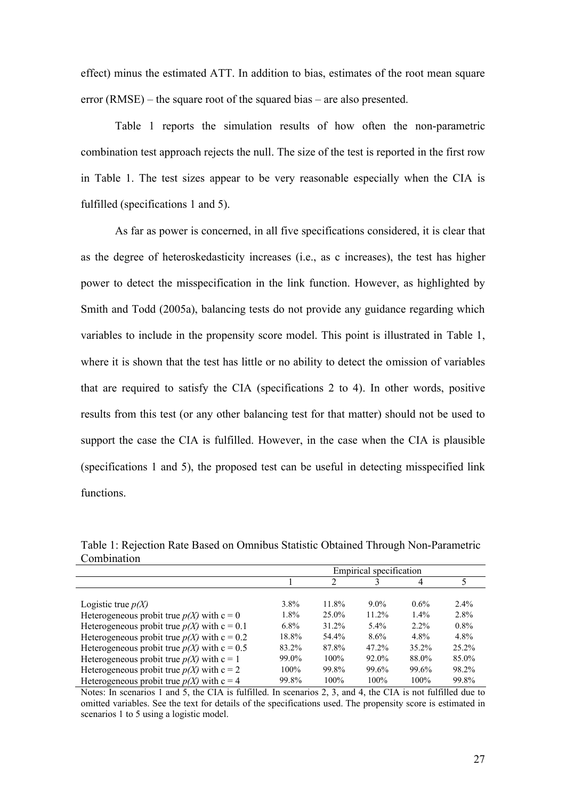effect) minus the estimated ATT. In addition to bias, estimates of the root mean square error (RMSE) – the square root of the squared bias – are also presented.

Table 1 reports the simulation results of how often the non-parametric combination test approach rejects the null. The size of the test is reported in the first row in Table 1. The test sizes appear to be very reasonable especially when the CIA is fulfilled (specifications 1 and 5).

As far as power is concerned, in all five specifications considered, it is clear that as the degree of heteroskedasticity increases (i.e., as c increases), the test has higher power to detect the misspecification in the link function. However, as highlighted by Smith and Todd (2005a), balancing tests do not provide any guidance regarding which variables to include in the propensity score model. This point is illustrated in Table 1, where it is shown that the test has little or no ability to detect the omission of variables that are required to satisfy the CIA (specifications 2 to 4). In other words, positive results from this test (or any other balancing test for that matter) should not be used to support the case the CIA is fulfilled. However, in the case when the CIA is plausible (specifications 1 and 5), the proposed test can be useful in detecting misspecified link functions.

Table 1: Rejection Rate Based on Omnibus Statistic Obtained Through Non-Parametric Combination

|                                                 | Empirical specification |          |          |          |         |
|-------------------------------------------------|-------------------------|----------|----------|----------|---------|
|                                                 |                         | 2        |          | 4        |         |
|                                                 |                         |          |          |          |         |
| Logistic true $p(X)$                            | $3.8\%$                 | 11.8%    | $9.0\%$  | $0.6\%$  | $2.4\%$ |
| Heterogeneous probit true $p(X)$ with $c = 0$   | 1.8%                    | $25.0\%$ | $11.2\%$ | $1.4\%$  | 2.8%    |
| Heterogeneous probit true $p(X)$ with $c = 0.1$ | $6.8\%$                 | $31.2\%$ | $5.4\%$  | $2.2\%$  | $0.8\%$ |
| Heterogeneous probit true $p(X)$ with $c = 0.2$ | 18.8%                   | 54.4%    | 8.6%     | $4.8\%$  | $4.8\%$ |
| Heterogeneous probit true $p(X)$ with $c = 0.5$ | 83.2%                   | 87.8%    | 47.2%    | $35.2\%$ | 25.2%   |
| Heterogeneous probit true $p(X)$ with $c = 1$   | 99.0%                   | $100\%$  | $92.0\%$ | 88.0%    | 85.0%   |
| Heterogeneous probit true $p(X)$ with $c = 2$   | $100\%$                 | 99.8%    | 99.6%    | 99.6%    | 98.2%   |
| Heterogeneous probit true $p(X)$ with $c = 4$   | 99.8%                   | 100%     | 100%     | $100\%$  | 99.8%   |

Notes: In scenarios 1 and 5, the CIA is fulfilled. In scenarios 2, 3, and 4, the CIA is not fulfilled due to omitted variables. See the text for details of the specifications used. The propensity score is estimated in scenarios 1 to 5 using a logistic model.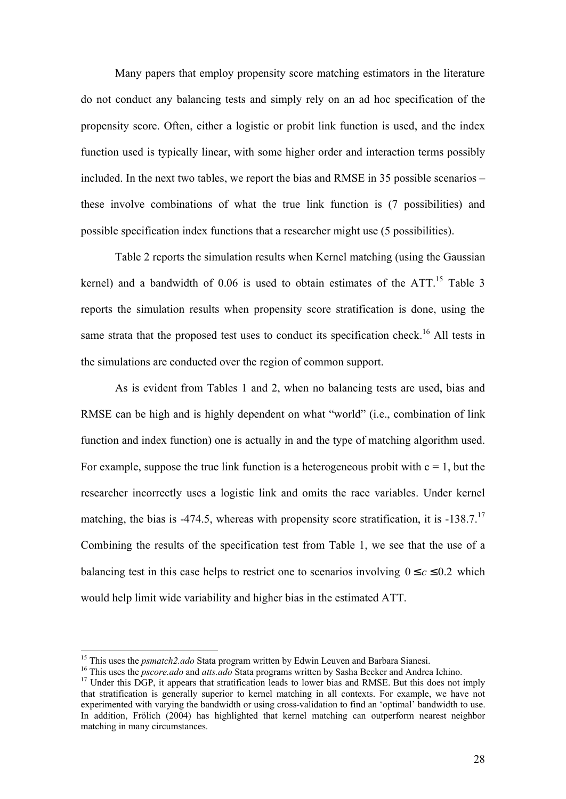Many papers that employ propensity score matching estimators in the literature do not conduct any balancing tests and simply rely on an ad hoc specification of the propensity score. Often, either a logistic or probit link function is used, and the index function used is typically linear, with some higher order and interaction terms possibly included. In the next two tables, we report the bias and RMSE in 35 possible scenarios – these involve combinations of what the true link function is (7 possibilities) and possible specification index functions that a researcher might use (5 possibilities).

Table 2 reports the simulation results when Kernel matching (using the Gaussian kernel) and a bandwidth of  $0.06$  is used to obtain estimates of the ATT.<sup>15</sup> Table 3 reports the simulation results when propensity score stratification is done, using the same strata that the proposed test uses to conduct its specification check.<sup>16</sup> All tests in the simulations are conducted over the region of common support.

As is evident from Tables 1 and 2, when no balancing tests are used, bias and RMSE can be high and is highly dependent on what "world" (i.e., combination of link function and index function) one is actually in and the type of matching algorithm used. For example, suppose the true link function is a heterogeneous probit with  $c = 1$ , but the researcher incorrectly uses a logistic link and omits the race variables. Under kernel matching, the bias is -474.5, whereas with propensity score stratification, it is -138.7.<sup>17</sup> Combining the results of the specification test from Table 1, we see that the use of a balancing test in this case helps to restrict one to scenarios involving  $0 \le c \le 0.2$  which would help limit wide variability and higher bias in the estimated ATT.

 $\overline{a}$ 

<sup>&</sup>lt;sup>15</sup> This uses the *psmatch2.ado* Stata program written by Edwin Leuven and Barbara Sianesi.

<sup>16</sup> This uses the *pscore.ado* and *atts.ado* Stata programs written by Sasha Becker and Andrea Ichino.

<sup>&</sup>lt;sup>17</sup> Under this DGP, it appears that stratification leads to lower bias and RMSE. But this does not imply that stratification is generally superior to kernel matching in all contexts. For example, we have not experimented with varying the bandwidth or using cross-validation to find an 'optimal' bandwidth to use. In addition, Frölich (2004) has highlighted that kernel matching can outperform nearest neighbor matching in many circumstances.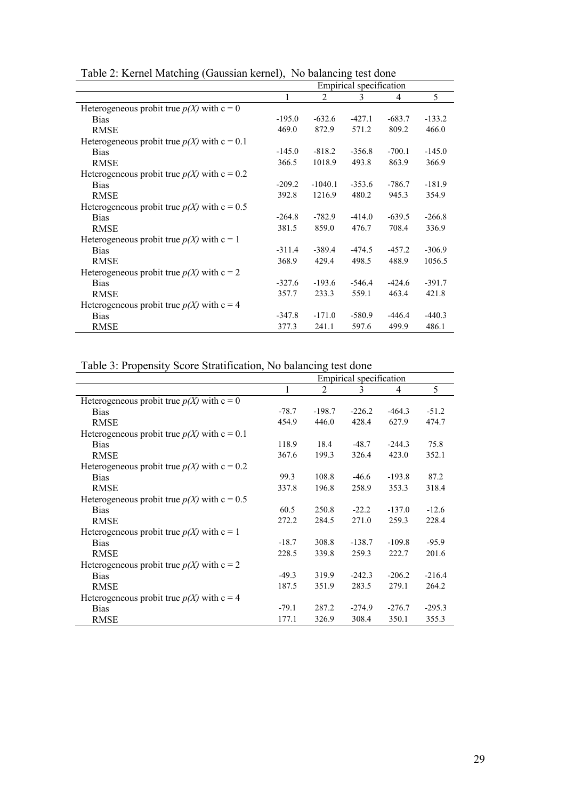| Table 2. Kerner Matering (Gaussian Kerner), Two balancing test done |                         |                |          |          |          |  |
|---------------------------------------------------------------------|-------------------------|----------------|----------|----------|----------|--|
|                                                                     | Empirical specification |                |          |          |          |  |
|                                                                     | 1                       | $\mathfrak{D}$ | 3        | 4        | 5        |  |
| Heterogeneous probit true $p(X)$ with $c = 0$                       |                         |                |          |          |          |  |
| <b>Bias</b>                                                         | $-195.0$                | $-632.6$       | $-427.1$ | $-683.7$ | $-133.2$ |  |
| <b>RMSE</b>                                                         | 469.0                   | 872.9          | 571.2    | 809.2    | 466.0    |  |
| Heterogeneous probit true $p(X)$ with $c = 0.1$                     |                         |                |          |          |          |  |
| <b>Bias</b>                                                         | $-145.0$                | $-818.2$       | $-356.8$ | $-700.1$ | $-145.0$ |  |
| <b>RMSE</b>                                                         | 366.5                   | 1018.9         | 493.8    | 863.9    | 366.9    |  |
| Heterogeneous probit true $p(X)$ with $c = 0.2$                     |                         |                |          |          |          |  |
| <b>Bias</b>                                                         | $-209.2$                | $-1040.1$      | $-353.6$ | $-786.7$ | $-181.9$ |  |
| <b>RMSE</b>                                                         | 392.8                   | 1216.9         | 480.2    | 945.3    | 354.9    |  |
| Heterogeneous probit true $p(X)$ with $c = 0.5$                     |                         |                |          |          |          |  |
| <b>Bias</b>                                                         | $-264.8$                | $-782.9$       | $-414.0$ | $-639.5$ | $-266.8$ |  |
| <b>RMSE</b>                                                         | 381.5                   | 859.0          | 476.7    | 708.4    | 336.9    |  |
| Heterogeneous probit true $p(X)$ with $c = 1$                       |                         |                |          |          |          |  |
| <b>Bias</b>                                                         | $-311.4$                | $-389.4$       | $-474.5$ | $-457.2$ | $-306.9$ |  |
| <b>RMSE</b>                                                         | 368.9                   | 429.4          | 498.5    | 488.9    | 1056.5   |  |
| Heterogeneous probit true $p(X)$ with $c = 2$                       |                         |                |          |          |          |  |
| <b>Bias</b>                                                         | $-327.6$                | $-193.6$       | $-546.4$ | $-424.6$ | $-391.7$ |  |
| <b>RMSE</b>                                                         | 357.7                   | 233.3          | 559.1    | 463.4    | 421.8    |  |
| Heterogeneous probit true $p(X)$ with $c = 4$                       |                         |                |          |          |          |  |
| <b>Bias</b>                                                         | $-347.8$                | $-171.0$       | $-580.9$ | $-446.4$ | $-440.3$ |  |
| <b>RMSE</b>                                                         | 377.3                   | 241.1          | 597.6    | 499.9    | 486.1    |  |

Table 2: Kernel Matching (Gaussian kernel), No balancing test done

Table 3: Propensity Score Stratification, No balancing test done

|                                                 | Empirical specification |                |          |          |          |  |
|-------------------------------------------------|-------------------------|----------------|----------|----------|----------|--|
|                                                 | 1                       | $\mathfrak{D}$ | 3        | 4        | 5        |  |
| Heterogeneous probit true $p(X)$ with $c = 0$   |                         |                |          |          |          |  |
| <b>Bias</b>                                     | $-78.7$                 | $-198.7$       | $-226.2$ | $-464.3$ | $-51.2$  |  |
| <b>RMSE</b>                                     | 454.9                   | 446.0          | 428.4    | 627.9    | 474.7    |  |
| Heterogeneous probit true $p(X)$ with $c = 0.1$ |                         |                |          |          |          |  |
| <b>Bias</b>                                     | 118.9                   | 18.4           | $-48.7$  | $-244.3$ | 75.8     |  |
| <b>RMSE</b>                                     | 367.6                   | 199.3          | 326.4    | 423.0    | 352.1    |  |
| Heterogeneous probit true $p(X)$ with $c = 0.2$ |                         |                |          |          |          |  |
| <b>Bias</b>                                     | 99.3                    | 108.8          | $-46.6$  | $-193.8$ | 87.2     |  |
| <b>RMSE</b>                                     | 337.8                   | 196.8          | 258.9    | 353.3    | 318.4    |  |
| Heterogeneous probit true $p(X)$ with $c = 0.5$ |                         |                |          |          |          |  |
| <b>Bias</b>                                     | 60.5                    | 250.8          | $-22.2$  | $-137.0$ | $-12.6$  |  |
| RMSE                                            | 272.2                   | 284.5          | 271.0    | 259.3    | 228.4    |  |
| Heterogeneous probit true $p(X)$ with $c = 1$   |                         |                |          |          |          |  |
| <b>Bias</b>                                     | $-18.7$                 | 308.8          | $-138.7$ | $-109.8$ | $-95.9$  |  |
| <b>RMSE</b>                                     | 228.5                   | 339.8          | 259.3    | 222.7    | 201.6    |  |
| Heterogeneous probit true $p(X)$ with $c = 2$   |                         |                |          |          |          |  |
| <b>Bias</b>                                     | $-49.3$                 | 319.9          | $-242.3$ | $-206.2$ | $-216.4$ |  |
| <b>RMSE</b>                                     | 187.5                   | 351.9          | 283.5    | 279.1    | 264.2    |  |
| Heterogeneous probit true $p(X)$ with $c = 4$   |                         |                |          |          |          |  |
| <b>Bias</b>                                     | $-79.1$                 | 287.2          | $-274.9$ | $-276.7$ | $-295.3$ |  |
| <b>RMSE</b>                                     | 177.1                   | 326.9          | 308.4    | 350.1    | 355.3    |  |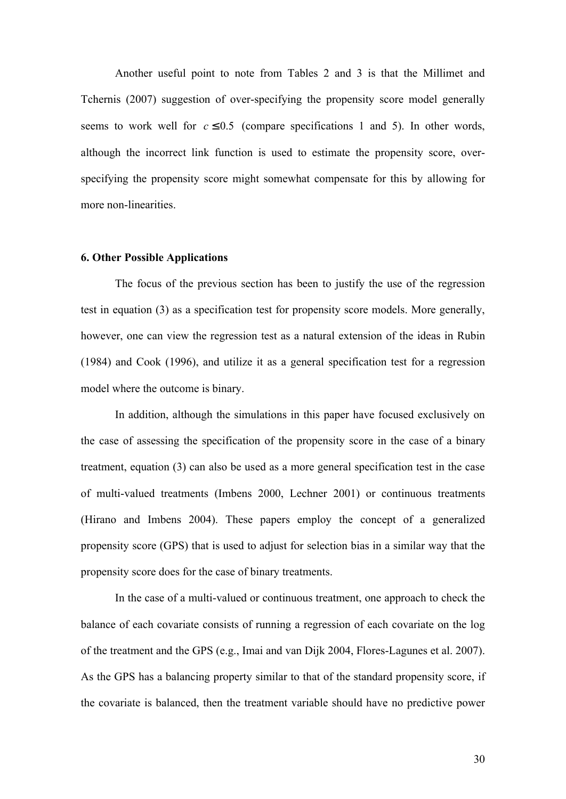Another useful point to note from Tables 2 and 3 is that the Millimet and Tchernis (2007) suggestion of over-specifying the propensity score model generally seems to work well for  $c \leq 0.5$  (compare specifications 1 and 5). In other words, although the incorrect link function is used to estimate the propensity score, overspecifying the propensity score might somewhat compensate for this by allowing for more non-linearities.

#### **6. Other Possible Applications**

The focus of the previous section has been to justify the use of the regression test in equation (3) as a specification test for propensity score models. More generally, however, one can view the regression test as a natural extension of the ideas in Rubin (1984) and Cook (1996), and utilize it as a general specification test for a regression model where the outcome is binary.

In addition, although the simulations in this paper have focused exclusively on the case of assessing the specification of the propensity score in the case of a binary treatment, equation (3) can also be used as a more general specification test in the case of multi-valued treatments (Imbens 2000, Lechner 2001) or continuous treatments (Hirano and Imbens 2004). These papers employ the concept of a generalized propensity score (GPS) that is used to adjust for selection bias in a similar way that the propensity score does for the case of binary treatments.

In the case of a multi-valued or continuous treatment, one approach to check the balance of each covariate consists of running a regression of each covariate on the log of the treatment and the GPS (e.g., Imai and van Dijk 2004, Flores-Lagunes et al. 2007). As the GPS has a balancing property similar to that of the standard propensity score, if the covariate is balanced, then the treatment variable should have no predictive power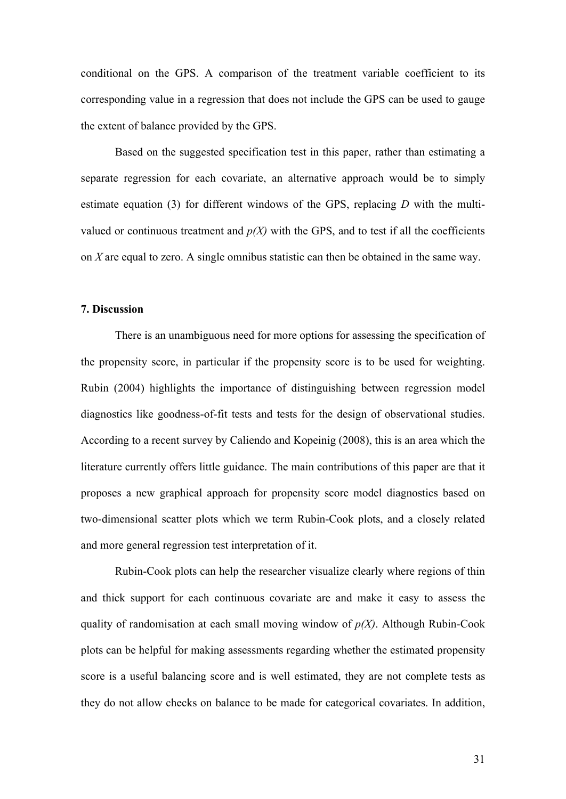conditional on the GPS. A comparison of the treatment variable coefficient to its corresponding value in a regression that does not include the GPS can be used to gauge the extent of balance provided by the GPS.

Based on the suggested specification test in this paper, rather than estimating a separate regression for each covariate, an alternative approach would be to simply estimate equation (3) for different windows of the GPS, replacing *D* with the multivalued or continuous treatment and  $p(X)$  with the GPS, and to test if all the coefficients on *X* are equal to zero. A single omnibus statistic can then be obtained in the same way.

#### **7. Discussion**

There is an unambiguous need for more options for assessing the specification of the propensity score, in particular if the propensity score is to be used for weighting. Rubin (2004) highlights the importance of distinguishing between regression model diagnostics like goodness-of-fit tests and tests for the design of observational studies. According to a recent survey by Caliendo and Kopeinig (2008), this is an area which the literature currently offers little guidance. The main contributions of this paper are that it proposes a new graphical approach for propensity score model diagnostics based on two-dimensional scatter plots which we term Rubin-Cook plots, and a closely related and more general regression test interpretation of it.

Rubin-Cook plots can help the researcher visualize clearly where regions of thin and thick support for each continuous covariate are and make it easy to assess the quality of randomisation at each small moving window of *p(X)*. Although Rubin-Cook plots can be helpful for making assessments regarding whether the estimated propensity score is a useful balancing score and is well estimated, they are not complete tests as they do not allow checks on balance to be made for categorical covariates. In addition,

31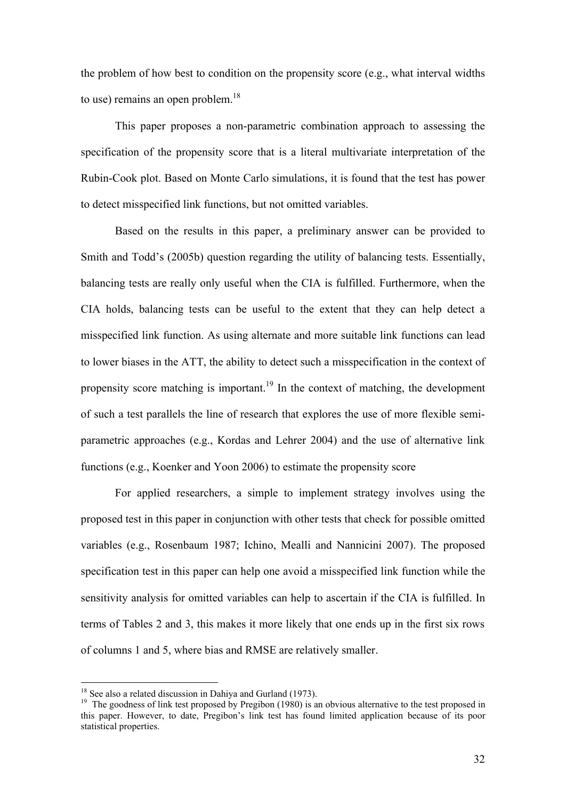the problem of how best to condition on the propensity score (e.g., what interval widths to use) remains an open problem.<sup>18</sup>

This paper proposes a non-parametric combination approach to assessing the specification of the propensity score that is a literal multivariate interpretation of the Rubin-Cook plot. Based on Monte Carlo simulations, it is found that the test has power to detect misspecified link functions, but not omitted variables.

Based on the results in this paper, a preliminary answer can be provided to Smith and Todd's (2005b) question regarding the utility of balancing tests. Essentially, balancing tests are really only useful when the CIA is fulfilled. Furthermore, when the CIA holds, balancing tests can be useful to the extent that they can help detect a misspecified link function. As using alternate and more suitable link functions can lead to lower biases in the ATT, the ability to detect such a misspecification in the context of propensity score matching is important.<sup>19</sup> In the context of matching, the development of such a test parallels the line of research that explores the use of more flexible semiparametric approaches (e.g., Kordas and Lehrer 2004) and the use of alternative link functions (e.g., Koenker and Yoon 2006) to estimate the propensity score

For applied researchers, a simple to implement strategy involves using the proposed test in this paper in conjunction with other tests that check for possible omitted variables (e.g., Rosenbaum 1987; Ichino, Mealli and Nannicini 2007). The proposed specification test in this paper can help one avoid a misspecified link function while the sensitivity analysis for omitted variables can help to ascertain if the CIA is fulfilled. In terms of Tables 2 and 3, this makes it more likely that one ends up in the first six rows of columns 1 and 5, where bias and RMSE are relatively smaller.

 $\overline{a}$ 

 $18$  See also a related discussion in Dahiya and Gurland (1973).

 $19$  The goodness of link test proposed by Pregibon (1980) is an obvious alternative to the test proposed in this paper. However, to date, Pregibon's link test has found limited application because of its poor statistical properties.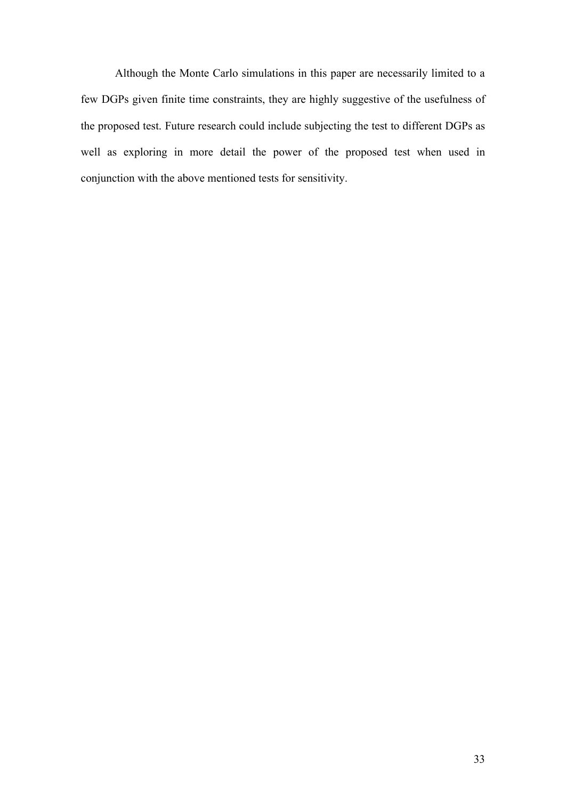Although the Monte Carlo simulations in this paper are necessarily limited to a few DGPs given finite time constraints, they are highly suggestive of the usefulness of the proposed test. Future research could include subjecting the test to different DGPs as well as exploring in more detail the power of the proposed test when used in conjunction with the above mentioned tests for sensitivity.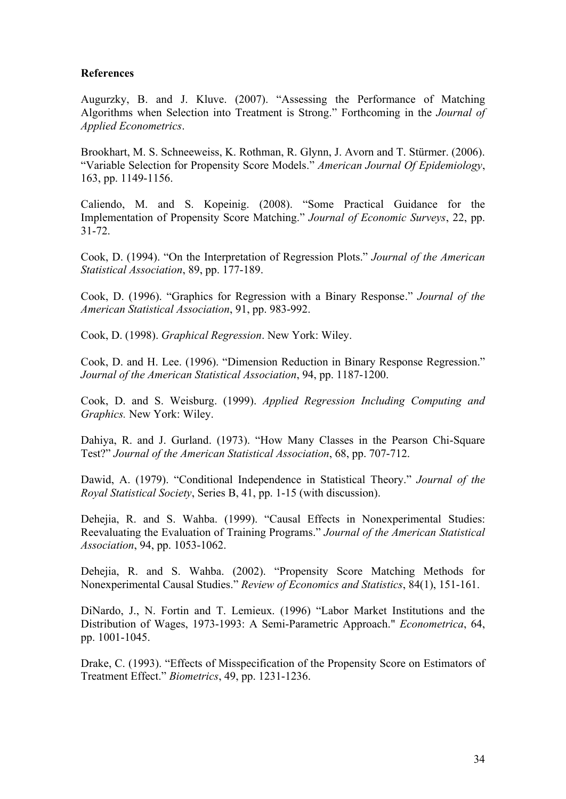# **References**

Augurzky, B. and J. Kluve. (2007). "Assessing the Performance of Matching Algorithms when Selection into Treatment is Strong." Forthcoming in the *Journal of Applied Econometrics*.

Brookhart, M. S. Schneeweiss, K. Rothman, R. Glynn, J. Avorn and T. Stürmer. (2006). "Variable Selection for Propensity Score Models." *American Journal Of Epidemiology*, 163, pp. 1149-1156.

Caliendo, M. and S. Kopeinig. (2008). "Some Practical Guidance for the Implementation of Propensity Score Matching." *Journal of Economic Surveys*, 22, pp. 31-72.

Cook, D. (1994). "On the Interpretation of Regression Plots." *Journal of the American Statistical Association*, 89, pp. 177-189.

Cook, D. (1996). "Graphics for Regression with a Binary Response." *Journal of the American Statistical Association*, 91, pp. 983-992.

Cook, D. (1998). *Graphical Regression*. New York: Wiley.

Cook, D. and H. Lee. (1996). "Dimension Reduction in Binary Response Regression." *Journal of the American Statistical Association*, 94, pp. 1187-1200.

Cook, D. and S. Weisburg. (1999). *Applied Regression Including Computing and Graphics.* New York: Wiley.

Dahiya, R. and J. Gurland. (1973). "How Many Classes in the Pearson Chi-Square Test?" *Journal of the American Statistical Association*, 68, pp. 707-712.

Dawid, A. (1979). "Conditional Independence in Statistical Theory." *Journal of the Royal Statistical Society*, Series B, 41, pp. 1-15 (with discussion).

Dehejia, R. and S. Wahba. (1999). "Causal Effects in Nonexperimental Studies: Reevaluating the Evaluation of Training Programs." *Journal of the American Statistical Association*, 94, pp. 1053-1062.

Dehejia, R. and S. Wahba. (2002). "Propensity Score Matching Methods for Nonexperimental Causal Studies." *Review of Economics and Statistics*, 84(1), 151-161.

DiNardo, J., N. Fortin and T. Lemieux. (1996) "Labor Market Institutions and the Distribution of Wages, 1973-1993: A Semi-Parametric Approach." *Econometrica*, 64, pp. 1001-1045.

Drake, C. (1993). "Effects of Misspecification of the Propensity Score on Estimators of Treatment Effect." *Biometrics*, 49, pp. 1231-1236.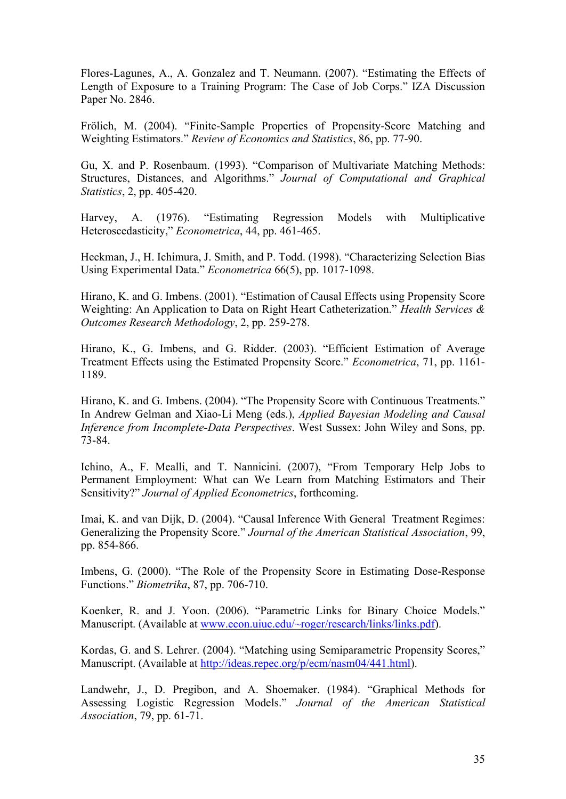Flores-Lagunes, A., A. Gonzalez and T. Neumann. (2007). "Estimating the Effects of Length of Exposure to a Training Program: The Case of Job Corps." IZA Discussion Paper No. 2846.

Frölich, M. (2004). "Finite-Sample Properties of Propensity-Score Matching and Weighting Estimators." *Review of Economics and Statistics*, 86, pp. 77-90.

Gu, X. and P. Rosenbaum. (1993). "Comparison of Multivariate Matching Methods: Structures, Distances, and Algorithms." *Journal of Computational and Graphical Statistics*, 2, pp. 405-420.

Harvey, A. (1976). "Estimating Regression Models with Multiplicative Heteroscedasticity," *Econometrica*, 44, pp. 461-465.

Heckman, J., H. Ichimura, J. Smith, and P. Todd. (1998). "Characterizing Selection Bias Using Experimental Data." *Econometrica* 66(5), pp. 1017-1098.

Hirano, K. and G. Imbens. (2001). "Estimation of Causal Effects using Propensity Score Weighting: An Application to Data on Right Heart Catheterization." *Health Services & Outcomes Research Methodology*, 2, pp. 259-278.

Hirano, K., G. Imbens, and G. Ridder. (2003). "Efficient Estimation of Average Treatment Effects using the Estimated Propensity Score." *Econometrica*, 71, pp. 1161- 1189.

Hirano, K. and G. Imbens. (2004). "The Propensity Score with Continuous Treatments." In Andrew Gelman and Xiao-Li Meng (eds.), *Applied Bayesian Modeling and Causal Inference from Incomplete-Data Perspectives*. West Sussex: John Wiley and Sons, pp. 73-84.

Ichino, A., F. Mealli, and T. Nannicini. (2007), "From Temporary Help Jobs to Permanent Employment: What can We Learn from Matching Estimators and Their Sensitivity?" *Journal of Applied Econometrics*, forthcoming.

Imai, K. and van Dijk, D. (2004). "Causal Inference With General Treatment Regimes: Generalizing the Propensity Score." *Journal of the American Statistical Association*, 99, pp. 854-866.

Imbens, G. (2000). "The Role of the Propensity Score in Estimating Dose-Response Functions." *Biometrika*, 87, pp. 706-710.

Koenker, R. and J. Yoon. (2006). "Parametric Links for Binary Choice Models." Manuscript. (Available at www.econ.uiuc.edu/~roger/research/links/links.pdf).

Kordas, G. and S. Lehrer. (2004). "Matching using Semiparametric Propensity Scores," Manuscript. (Available at http://ideas.repec.org/p/ecm/nasm04/441.html).

Landwehr, J., D. Pregibon, and A. Shoemaker. (1984). "Graphical Methods for Assessing Logistic Regression Models." *Journal of the American Statistical Association*, 79, pp. 61-71.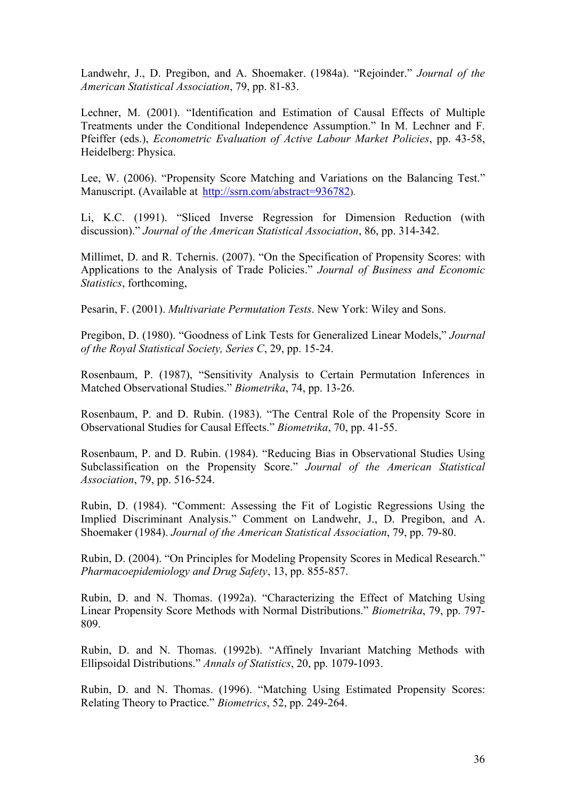Landwehr, J., D. Pregibon, and A. Shoemaker. (1984a). "Rejoinder." *Journal of the American Statistical Association*, 79, pp. 81-83.

Lechner, M. (2001). "Identification and Estimation of Causal Effects of Multiple Treatments under the Conditional Independence Assumption." In M. Lechner and F. Pfeiffer (eds.), *Econometric Evaluation of Active Labour Market Policies*, pp. 43-58, Heidelberg: Physica.

Lee, W. (2006). "Propensity Score Matching and Variations on the Balancing Test." Manuscript. (Available at http://ssrn.com/abstract=936782).

Li, K.C. (1991). "Sliced Inverse Regression for Dimension Reduction (with discussion)." *Journal of the American Statistical Association*, 86, pp. 314-342.

Millimet, D. and R. Tchernis. (2007). "On the Specification of Propensity Scores: with Applications to the Analysis of Trade Policies." *Journal of Business and Economic Statistics*, forthcoming,

Pesarin, F. (2001). *Multivariate Permutation Tests*. New York: Wiley and Sons.

Pregibon, D. (1980). "Goodness of Link Tests for Generalized Linear Models," *Journal of the Royal Statistical Society, Series C*, 29, pp. 15-24.

Rosenbaum, P. (1987), "Sensitivity Analysis to Certain Permutation Inferences in Matched Observational Studies." *Biometrika*, 74, pp. 13-26.

Rosenbaum, P. and D. Rubin. (1983). "The Central Role of the Propensity Score in Observational Studies for Causal Effects." *Biometrika*, 70, pp. 41-55.

Rosenbaum, P. and D. Rubin. (1984). "Reducing Bias in Observational Studies Using Subclassification on the Propensity Score." *Journal of the American Statistical Association*, 79, pp. 516-524.

Rubin, D. (1984). "Comment: Assessing the Fit of Logistic Regressions Using the Implied Discriminant Analysis." Comment on Landwehr, J., D. Pregibon, and A. Shoemaker (1984). *Journal of the American Statistical Association*, 79, pp. 79-80.

Rubin, D. (2004). "On Principles for Modeling Propensity Scores in Medical Research." *Pharmacoepidemiology and Drug Safety*, 13, pp. 855-857.

Rubin, D. and N. Thomas. (1992a). "Characterizing the Effect of Matching Using Linear Propensity Score Methods with Normal Distributions." *Biometrika*, 79, pp. 797- 809.

Rubin, D. and N. Thomas. (1992b). "Affinely Invariant Matching Methods with Ellipsoidal Distributions." *Annals of Statistics*, 20, pp. 1079-1093.

Rubin, D. and N. Thomas. (1996). "Matching Using Estimated Propensity Scores: Relating Theory to Practice." *Biometrics*, 52, pp. 249-264.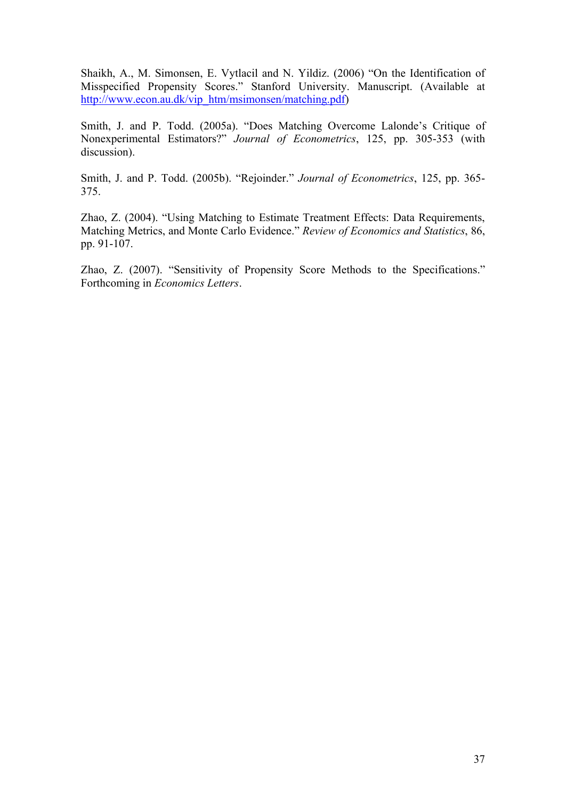Shaikh, A., M. Simonsen, E. Vytlacil and N. Yildiz. (2006) "On the Identification of Misspecified Propensity Scores." Stanford University. Manuscript. (Available at http://www.econ.au.dk/vip\_htm/msimonsen/matching.pdf)

Smith, J. and P. Todd. (2005a). "Does Matching Overcome Lalonde's Critique of Nonexperimental Estimators?" *Journal of Econometrics*, 125, pp. 305-353 (with discussion).

Smith, J. and P. Todd. (2005b). "Rejoinder." *Journal of Econometrics*, 125, pp. 365- 375.

Zhao, Z. (2004). "Using Matching to Estimate Treatment Effects: Data Requirements, Matching Metrics, and Monte Carlo Evidence." *Review of Economics and Statistics*, 86, pp. 91-107.

Zhao, Z. (2007). "Sensitivity of Propensity Score Methods to the Specifications." Forthcoming in *Economics Letters*.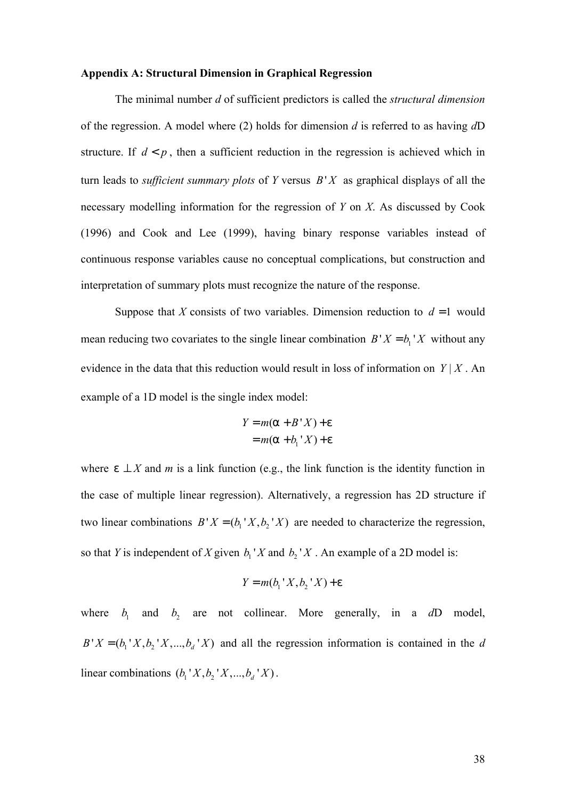### **Appendix A: Structural Dimension in Graphical Regression**

The minimal number *d* of sufficient predictors is called the *structural dimension* of the regression. A model where (2) holds for dimension *d* is referred to as having *d*D structure. If  $d < p$ , then a sufficient reduction in the regression is achieved which in turn leads to *sufficient summary plots* of *Y* versus *B*' *X* as graphical displays of all the necessary modelling information for the regression of *Y* on *X*. As discussed by Cook (1996) and Cook and Lee (1999), having binary response variables instead of continuous response variables cause no conceptual complications, but construction and interpretation of summary plots must recognize the nature of the response.

Suppose that *X* consists of two variables. Dimension reduction to  $d = 1$  would mean reducing two covariates to the single linear combination  $B'X = b<sub>1</sub>'X$  without any evidence in the data that this reduction would result in loss of information on  $Y | X$ . An example of a 1D model is the single index model:

$$
Y = m(a + B'X) + e
$$

$$
= m(a + b1'X) + e
$$

where  $e \perp X$  and *m* is a link function (e.g., the link function is the identity function in the case of multiple linear regression). Alternatively, a regression has 2D structure if two linear combinations  $B'X = (b_1'X, b_2'X)$  are needed to characterize the regression, so that *Y* is independent of *X* given  $b_1$  '*X* and  $b_2$  '*X*. An example of a 2D model is:

$$
Y = m(b_1' X, b_2' X) + e
$$

where  $b_1$  and  $b_2$  are not collinear. More generally, in a  $dD$  model,  $B'X = (b_1'X, b_2'X, \dots, b_d'X)$  and all the regression information is contained in the *d* linear combinations  $(b_1' X, b_2' X, ..., b_d' X)$ .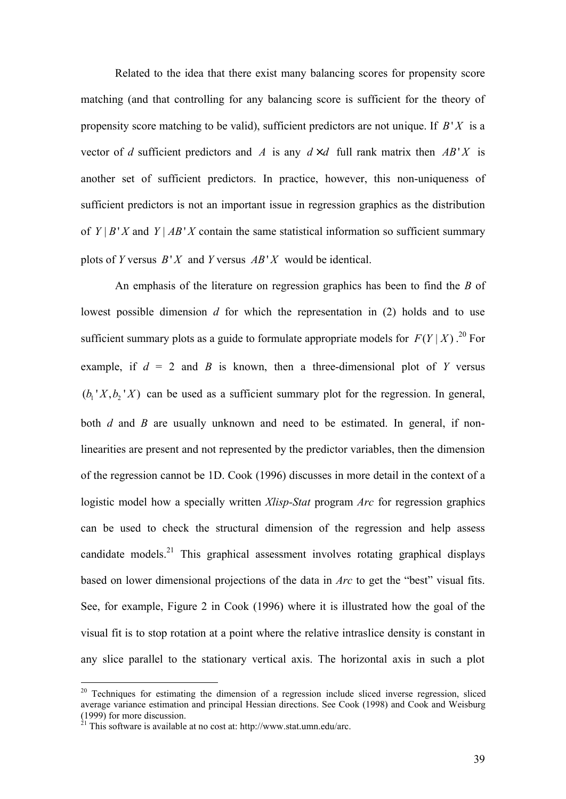Related to the idea that there exist many balancing scores for propensity score matching (and that controlling for any balancing score is sufficient for the theory of propensity score matching to be valid), sufficient predictors are not unique. If *B*' *X* is a vector of *d* sufficient predictors and *A* is any  $d \times d$  full rank matrix then  $AB'X$  is another set of sufficient predictors. In practice, however, this non-uniqueness of sufficient predictors is not an important issue in regression graphics as the distribution of  $Y \mid B \mid Y$  and  $Y \mid AB \mid X$  contain the same statistical information so sufficient summary plots of *Y* versus  $B'X$  and *Y* versus  $AB'X$  would be identical.

An emphasis of the literature on regression graphics has been to find the *B* of lowest possible dimension *d* for which the representation in (2) holds and to use sufficient summary plots as a guide to formulate appropriate models for  $F(Y|X)$ .<sup>20</sup> For example, if  $d = 2$  and *B* is known, then a three-dimensional plot of *Y* versus  $(b_1' X, b_2' X)$  can be used as a sufficient summary plot for the regression. In general, both *d* and *B* are usually unknown and need to be estimated. In general, if nonlinearities are present and not represented by the predictor variables, then the dimension of the regression cannot be 1D. Cook (1996) discusses in more detail in the context of a logistic model how a specially written *Xlisp-Stat* program *Arc* for regression graphics can be used to check the structural dimension of the regression and help assess candidate models.<sup>21</sup> This graphical assessment involves rotating graphical displays based on lower dimensional projections of the data in *Arc* to get the "best" visual fits. See, for example, Figure 2 in Cook (1996) where it is illustrated how the goal of the visual fit is to stop rotation at a point where the relative intraslice density is constant in any slice parallel to the stationary vertical axis. The horizontal axis in such a plot

 $\overline{a}$ 

<sup>&</sup>lt;sup>20</sup> Techniques for estimating the dimension of a regression include sliced inverse regression, sliced average variance estimation and principal Hessian directions. See Cook (1998) and Cook and Weisburg (1999) for more discussion.

 $^{21}$  This software is available at no cost at: http://www.stat.umn.edu/arc.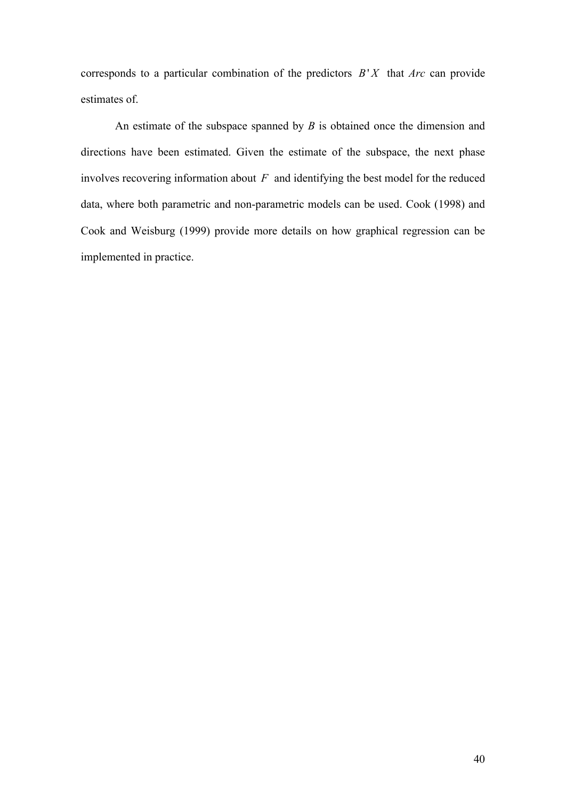corresponds to a particular combination of the predictors *B*' *X* that *Arc* can provide estimates of.

An estimate of the subspace spanned by *B* is obtained once the dimension and directions have been estimated. Given the estimate of the subspace, the next phase involves recovering information about *F* and identifying the best model for the reduced data, where both parametric and non-parametric models can be used. Cook (1998) and Cook and Weisburg (1999) provide more details on how graphical regression can be implemented in practice.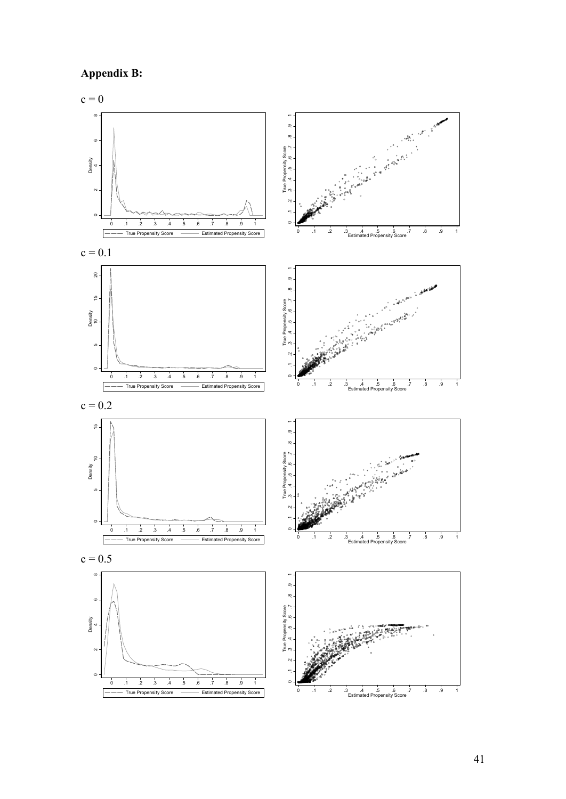



41